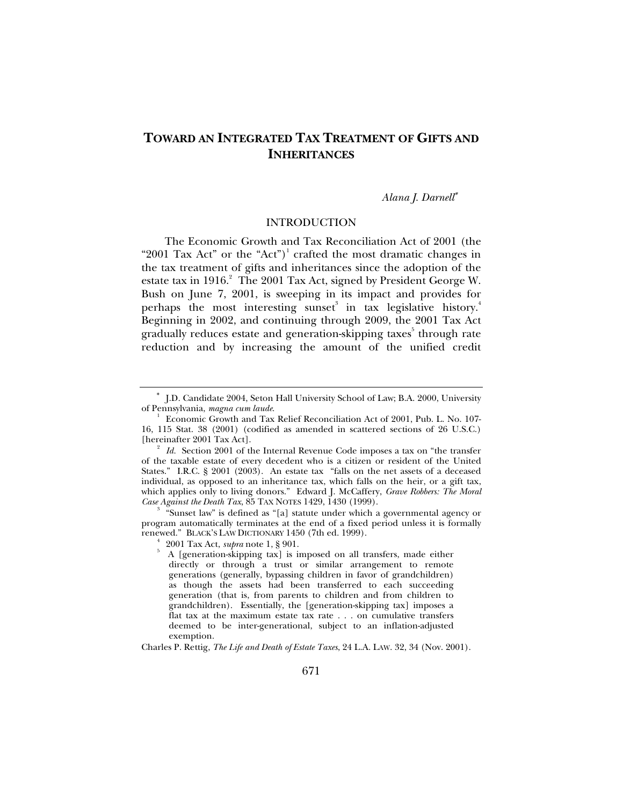# **TOWARD AN INTEGRATED TAX TREATMENT OF GIFTS AND INHERITANCES**

#### *Alana J. Darnell*<sup>∗</sup>

#### INTRODUCTION

The Economic Growth and Tax Reconciliation Act of 2001 (the "2001 Tax Act" or the "Act")<sup>1</sup> crafted the most dramatic changes in the tax treatment of gifts and inheritances since the adoption of the estate tax in 1916.<sup>2</sup> The 2001 Tax Act, signed by President George W. Bush on June 7, 2001, is sweeping in its impact and provides for perhaps the most interesting sunset<sup>3</sup> in tax legislative history.<sup>4</sup> Beginning in 2002, and continuing through 2009, the 2001 Tax Act gradually reduces estate and generation-skipping taxes $^{\rm 5}$  through rate reduction and by increasing the amount of the unified credit

 "Sunset law" is defined as "[a] statute under which a governmental agency or program automatically terminates at the end of a fixed period unless it is formally renewed." BLACK's LAW DICTIONARY 1450 (7th ed. 1999).

Charles P. Rettig, *The Life and Death of Estate Taxes*, 24 L.A. LAW. 32, 34 (Nov. 2001).

<sup>∗</sup> J.D. Candidate 2004, Seton Hall University School of Law; B.A. 2000, University of Pennsylvania, *magna cum laude*. 1

Economic Growth and Tax Relief Reconciliation Act of 2001, Pub. L. No. 107- 16, 115 Stat. 38 (2001) (codified as amended in scattered sections of 26 U.S.C.) [hereinafter 2001 Tax Act].

*Id.* Section 2001 of the Internal Revenue Code imposes a tax on "the transfer" of the taxable estate of every decedent who is a citizen or resident of the United States." I.R.C. § 2001 (2003). An estate tax "falls on the net assets of a deceased individual, as opposed to an inheritance tax, which falls on the heir, or a gift tax, which applies only to living donors." Edward J. McCaffery, *Grave Robbers: The Moral Case Against the Death Tax, 85 TAX NOTES 1429, 1430 (1999).* 

<sup>2001</sup> Tax Act, *supra* note 1, § 901.

A [generation-skipping tax] is imposed on all transfers, made either directly or through a trust or similar arrangement to remote generations (generally, bypassing children in favor of grandchildren) as though the assets had been transferred to each succeeding generation (that is, from parents to children and from children to grandchildren). Essentially, the [generation-skipping tax] imposes a flat tax at the maximum estate tax rate . . . on cumulative transfers deemed to be inter-generational, subject to an inflation-adjusted exemption.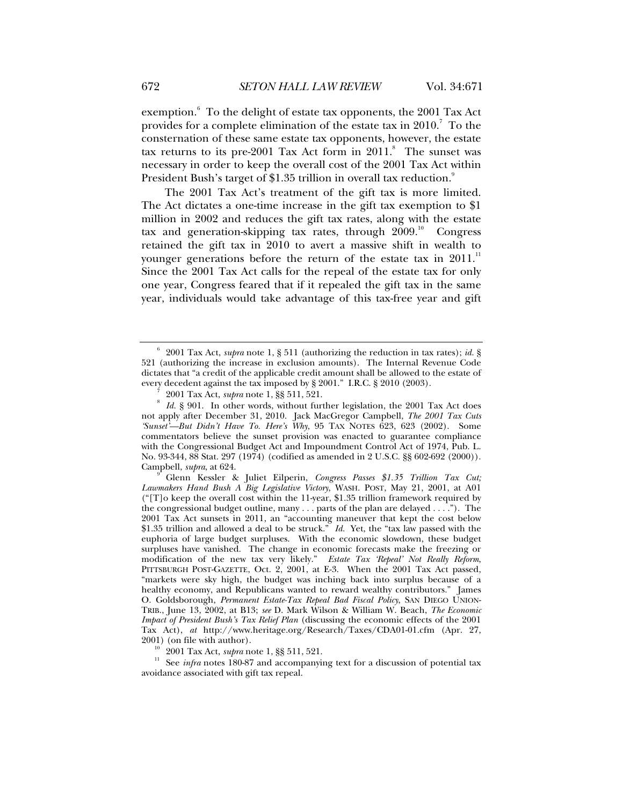exemption.<sup>6</sup> To the delight of estate tax opponents, the 2001 Tax Act provides for a complete elimination of the estate tax in  $2010$ .<sup>7</sup> To the consternation of these same estate tax opponents, however, the estate tax returns to its pre-2001 Tax Act form in  $2011$ .<sup>8</sup> The sunset was necessary in order to keep the overall cost of the 2001 Tax Act within President Bush's target of \$1.35 trillion in overall tax reduction.<sup>9</sup>

The 2001 Tax Act's treatment of the gift tax is more limited. The Act dictates a one-time increase in the gift tax exemption to \$1 million in 2002 and reduces the gift tax rates, along with the estate tax and generation-skipping tax rates, through  $2009$ .<sup>10</sup> Congress retained the gift tax in 2010 to avert a massive shift in wealth to younger generations before the return of the estate tax in  $2011$ .<sup>11</sup> Since the 2001 Tax Act calls for the repeal of the estate tax for only one year, Congress feared that if it repealed the gift tax in the same year, individuals would take advantage of this tax-free year and gift

<sup>6</sup> 2001 Tax Act, *supra* note 1, § 511 (authorizing the reduction in tax rates); *id.* § 521 (authorizing the increase in exclusion amounts). The Internal Revenue Code dictates that "a credit of the applicable credit amount shall be allowed to the estate of every decedent against the tax imposed by § 2001." I.R.C. § 2010 (2003).

 <sup>2001</sup> Tax Act, *supra* note 1, §§ 511, 521. <sup>8</sup>

*Id.* § 901. In other words, without further legislation, the 2001 Tax Act does not apply after December 31, 2010. Jack MacGregor Campbell, *The 2001 Tax Cuts 'Sunset'—But Didn't Have To. Here's Why*, 95 TAX NOTES 623, 623 (2002). Some commentators believe the sunset provision was enacted to guarantee compliance with the Congressional Budget Act and Impoundment Control Act of 1974, Pub. L. No. 93-344, 88 Stat. 297 (1974) (codified as amended in 2 U.S.C. §§ 602-692 (2000)). Campbell, *supra*, at 624.

Glenn Kessler & Juliet Eilperin, *Congress Passes \$1.35 Trillion Tax Cut; Lawmakers Hand Bush A Big Legislative Victory*, WASH. POST, May 21, 2001, at A01 ("[T]o keep the overall cost within the 11-year, \$1.35 trillion framework required by the congressional budget outline, many . . . parts of the plan are delayed . . . ."). The 2001 Tax Act sunsets in 2011, an "accounting maneuver that kept the cost below \$1.35 trillion and allowed a deal to be struck." *Id.* Yet, the "tax law passed with the euphoria of large budget surpluses. With the economic slowdown, these budget surpluses have vanished. The change in economic forecasts make the freezing or modification of the new tax very likely." *Estate Tax 'Repeal' Not Really Reform*, PITTSBURGH POST-GAZETTE, Oct. 2, 2001, at E-3. When the 2001 Tax Act passed, "markets were sky high, the budget was inching back into surplus because of a healthy economy, and Republicans wanted to reward wealthy contributors." James O. Goldsborough, *Permanent Estate-Tax Repeal Bad Fiscal Policy*, SAN DIEGO UNION-TRIB., June 13, 2002, at B13; *see* D. Mark Wilson & William W. Beach, *The Economic Impact of President Bush's Tax Relief Plan* (discussing the economic effects of the 2001 Tax Act), *at* http://www.heritage.org/Research/Taxes/CDA01-01.cfm (Apr. 27,

<sup>2001) (</sup>on file with author).<br><sup>10</sup> 2001 Tax Act, *supra* note 1, §§ 511, 521.<br><sup>11</sup> See *infra* notes 180-87 and accompanying text for a discussion of potential tax avoidance associated with gift tax repeal.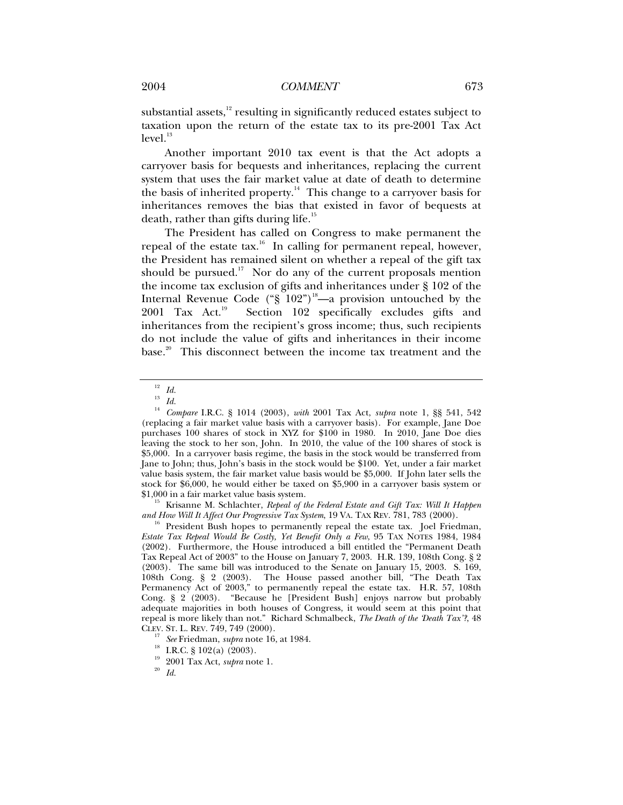substantial assets, $12$  resulting in significantly reduced estates subject to taxation upon the return of the estate tax to its pre-2001 Tax Act  $level.<sup>13</sup>$ 

Another important 2010 tax event is that the Act adopts a carryover basis for bequests and inheritances, replacing the current system that uses the fair market value at date of death to determine the basis of inherited property.<sup>14</sup> This change to a carryover basis for inheritances removes the bias that existed in favor of bequests at death, rather than gifts during life.<sup>15</sup>

The President has called on Congress to make permanent the repeal of the estate tax.<sup>16</sup> In calling for permanent repeal, however, the President has remained silent on whether a repeal of the gift tax should be pursued.<sup>17</sup> Nor do any of the current proposals mention the income tax exclusion of gifts and inheritances under § 102 of the Internal Revenue Code ("§  $102"$ )<sup>18</sup>—a provision untouched by the 2001 Tax Act.<sup>19</sup> Section 102 specifically excludes gifts and inheritances from the recipient's gross income; thus, such recipients do not include the value of gifts and inheritances in their income base.<sup>20</sup> This disconnect between the income tax treatment and the

<sup>15</sup> Krisanne M. Schlachter, *Repeal of the Federal Estate and Gift Tax: Will It Happen and How Will It Affect Our Progressive Tax System, 19 VA. TAX REV. 781, 783 (2000).* 

President Bush hopes to permanently repeal the estate tax. Joel Friedman, *Estate Tax Repeal Would Be Costly, Yet Benefit Only a Few*, 95 TAX NOTES 1984, 1984 (2002). Furthermore, the House introduced a bill entitled the "Permanent Death Tax Repeal Act of 2003" to the House on January 7, 2003. H.R. 139, 108th Cong. § 2 (2003). The same bill was introduced to the Senate on January 15, 2003. S. 169, 108th Cong. § 2 (2003). The House passed another bill, "The Death Tax Permanency Act of 2003," to permanently repeal the estate tax. H.R. 57, 108th Cong. § 2 (2003). "Because he [President Bush] enjoys narrow but probably adequate majorities in both houses of Congress, it would seem at this point that repeal is more likely than not." Richard Schmalbeck, *The Death of the 'Death Tax'?*, 48

 $\frac{12}{13}$  *Id.* 

<sup>13</sup> *Id.*

<sup>14</sup> *Compare* I.R.C. § 1014 (2003), *with* 2001 Tax Act, *supra* note 1, §§ 541, 542 (replacing a fair market value basis with a carryover basis). For example, Jane Doe purchases 100 shares of stock in XYZ for \$100 in 1980. In 2010, Jane Doe dies leaving the stock to her son, John. In 2010, the value of the 100 shares of stock is \$5,000. In a carryover basis regime, the basis in the stock would be transferred from Jane to John; thus, John's basis in the stock would be \$100. Yet, under a fair market value basis system, the fair market value basis would be \$5,000. If John later sells the stock for \$6,000, he would either be taxed on \$5,900 in a carryover basis system or

<sup>&</sup>lt;sup>17</sup> See Friedman, *supra* note 16, at 1984.<br><sup>18</sup> I.R.C. § 102(a) (2003).

<sup>19 2001</sup> Tax Act, *supra* note 1.<br><sup>20</sup> *Id.*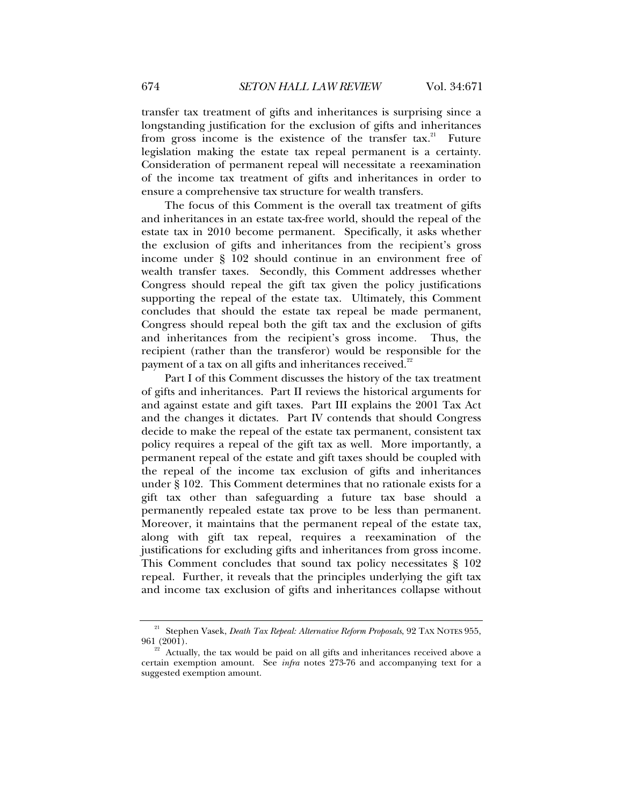transfer tax treatment of gifts and inheritances is surprising since a longstanding justification for the exclusion of gifts and inheritances from gross income is the existence of the transfer tax.<sup>21</sup> Future legislation making the estate tax repeal permanent is a certainty. Consideration of permanent repeal will necessitate a reexamination of the income tax treatment of gifts and inheritances in order to ensure a comprehensive tax structure for wealth transfers.

The focus of this Comment is the overall tax treatment of gifts and inheritances in an estate tax-free world, should the repeal of the estate tax in 2010 become permanent. Specifically, it asks whether the exclusion of gifts and inheritances from the recipient's gross income under § 102 should continue in an environment free of wealth transfer taxes. Secondly, this Comment addresses whether Congress should repeal the gift tax given the policy justifications supporting the repeal of the estate tax. Ultimately, this Comment concludes that should the estate tax repeal be made permanent, Congress should repeal both the gift tax and the exclusion of gifts and inheritances from the recipient's gross income. Thus, the recipient (rather than the transferor) would be responsible for the payment of a tax on all gifts and inheritances received. $22$ 

Part I of this Comment discusses the history of the tax treatment of gifts and inheritances. Part II reviews the historical arguments for and against estate and gift taxes. Part III explains the 2001 Tax Act and the changes it dictates. Part IV contends that should Congress decide to make the repeal of the estate tax permanent, consistent tax policy requires a repeal of the gift tax as well. More importantly, a permanent repeal of the estate and gift taxes should be coupled with the repeal of the income tax exclusion of gifts and inheritances under § 102. This Comment determines that no rationale exists for a gift tax other than safeguarding a future tax base should a permanently repealed estate tax prove to be less than permanent. Moreover, it maintains that the permanent repeal of the estate tax, along with gift tax repeal, requires a reexamination of the justifications for excluding gifts and inheritances from gross income. This Comment concludes that sound tax policy necessitates § 102 repeal. Further, it reveals that the principles underlying the gift tax and income tax exclusion of gifts and inheritances collapse without

<sup>&</sup>lt;sup>21</sup> Stephen Vasek, *Death Tax Repeal: Alternative Reform Proposals*, 92 TAX NOTES 955, 961 (2001).

Actually, the tax would be paid on all gifts and inheritances received above a certain exemption amount. See *infra* notes 273-76 and accompanying text for a suggested exemption amount.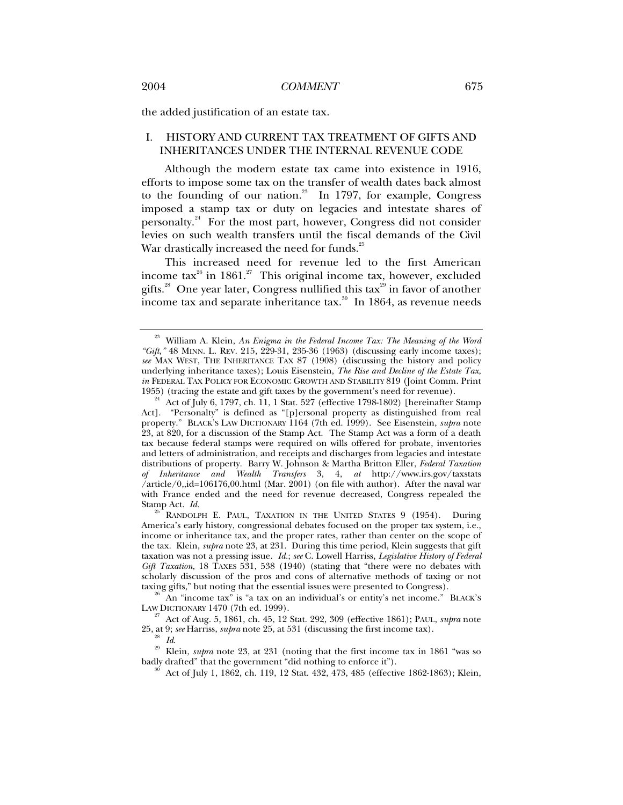the added justification of an estate tax.

# I. HISTORY AND CURRENT TAX TREATMENT OF GIFTS AND INHERITANCES UNDER THE INTERNAL REVENUE CODE

Although the modern estate tax came into existence in 1916, efforts to impose some tax on the transfer of wealth dates back almost to the founding of our nation.<sup>23</sup> In 1797, for example, Congress imposed a stamp tax or duty on legacies and intestate shares of personalty.24 For the most part, however, Congress did not consider levies on such wealth transfers until the fiscal demands of the Civil War drastically increased the need for funds.<sup>25</sup>

This increased need for revenue led to the first American income tax<sup>26</sup> in 1861.<sup>27</sup> This original income tax, however, excluded gifts.<sup>28</sup> One year later, Congress nullified this tax<sup>29</sup> in favor of another income tax and separate inheritance tax.<sup>30</sup> In 1864, as revenue needs

RANDOLPH E. PAUL, TAXATION IN THE UNITED STATES 9 (1954). During America's early history, congressional debates focused on the proper tax system, i.e., income or inheritance tax, and the proper rates, rather than center on the scope of the tax. Klein, *supra* note 23, at 231.During this time period, Klein suggests that gift taxation was not a pressing issue*. Id.*; *see* C. Lowell Harriss, *Legislative History of Federal Gift Taxation*, 18 TAXES 531, 538 (1940) (stating that "there were no debates with scholarly discussion of the pros and cons of alternative methods of taxing or not

taxing gifts," but noting that the essential issues were presented to Congress).<br><sup>26</sup> An "income tax" is "a tax on an individual's or entity's net income." BLACK'S LAW DICTIONARY 1470 (7th ed. 1999).

<sup>27</sup> Act of Aug. 5, 1861, ch. 45, 12 Stat. 292, 309 (effective 1861); PAUL, *supra* note 25, at 9; *see* Harriss, *supra* note 25, at 531 (discussing the first income tax).

<sup>29</sup> Id.<br><sup>29</sup> Klein, *supra* note 23, at 231 (noting that the first income tax in 1861 "was so badly drafted" that the government "did nothing to enforce it").

Act of July 1, 1862, ch. 119, 12 Stat. 432, 473, 485 (effective 1862-1863); Klein,

<sup>&</sup>lt;sup>23</sup> William A. Klein, *An Enigma in the Federal Income Tax: The Meaning of the Word "Gift*,*"* 48 MINN. L. REV. 215, 229-31, 235-36 (1963) (discussing early income taxes); *see* MAX WEST, THE INHERITANCE TAX 87 (1908) (discussing the history and policy underlying inheritance taxes); Louis Eisenstein, *The Rise and Decline of the Estate Tax*, *in* FEDERAL TAX POLICY FOR ECONOMIC GROWTH AND STABILITY 819 (Joint Comm. Print 1955) (tracing the estate and gift taxes by the government's need for revenue).

Act of July 6, 1797, ch. 11, 1 Stat. 527 (effective 1798-1802) [hereinafter Stamp Act]. "Personalty" is defined as "[p]ersonal property as distinguished from real property." BLACK'S LAW DICTIONARY 1164 (7th ed. 1999). See Eisenstein, *supra* note 23, at 820, for a discussion of the Stamp Act. The Stamp Act was a form of a death tax because federal stamps were required on wills offered for probate, inventories and letters of administration, and receipts and discharges from legacies and intestate distributions of property. Barry W. Johnson & Martha Britton Eller, *Federal Taxation of Inheritance and Wealth Transfers* 3, 4, *at* http://www.irs.gov/taxstats /article/0,,id=106176,00.html (Mar. 2001) (on file with author). After the naval war with France ended and the need for revenue decreased, Congress repealed the Stamp Act. Id.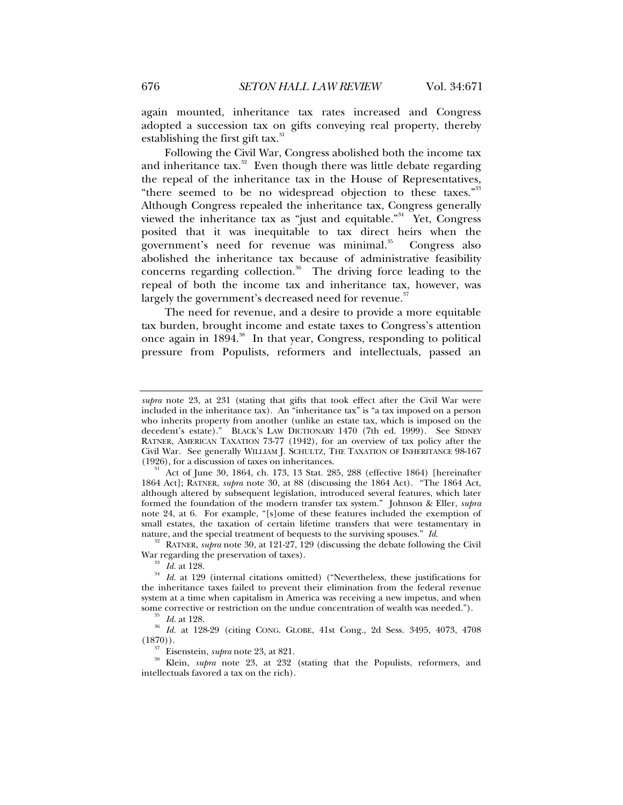again mounted, inheritance tax rates increased and Congress adopted a succession tax on gifts conveying real property, thereby establishing the first gift tax. $31$ 

Following the Civil War, Congress abolished both the income tax and inheritance  $\text{tax}$ .<sup>32</sup> Even though there was little debate regarding the repeal of the inheritance tax in the House of Representatives, "there seemed to be no widespread objection to these taxes."<sup>33</sup> Although Congress repealed the inheritance tax, Congress generally viewed the inheritance tax as "just and equitable."34 Yet, Congress posited that it was inequitable to tax direct heirs when the government's need for revenue was minimal.<sup>35</sup> Congress also abolished the inheritance tax because of administrative feasibility concerns regarding collection.<sup>36</sup> The driving force leading to the repeal of both the income tax and inheritance tax, however, was largely the government's decreased need for revenue.<sup>37</sup>

The need for revenue, and a desire to provide a more equitable tax burden, brought income and estate taxes to Congress's attention once again in  $1894$ <sup>38</sup>. In that year, Congress, responding to political pressure from Populists, reformers and intellectuals, passed an

<sup>32</sup> RATNER, *supra* note 30, at 121-27, 129 (discussing the debate following the Civil War regarding the preservation of taxes).

*supra* note 23, at 231 (stating that gifts that took effect after the Civil War were included in the inheritance tax). An "inheritance tax" is "a tax imposed on a person who inherits property from another (unlike an estate tax, which is imposed on the decedent's estate)." BLACK'S LAW DICTIONARY 1470 (7th ed. 1999). See SIDNEY RATNER, AMERICAN TAXATION 73-77 (1942), for an overview of tax policy after the Civil War. See generally WILLIAM J. SCHULTZ, THE TAXATION OF INHERITANCE 98-167 (1926), for a discussion of taxes on inheritances.

<sup>(1926),</sup> for a discussion of taxes on inheritances.<br><sup>31</sup> Act of June 30, 1864, ch. 173, 13 Stat. 285, 288 (effective 1864) [hereinafter 1864 Act]; RATNER, *supra* note 30, at 88 (discussing the 1864 Act). "The 1864 Act, although altered by subsequent legislation, introduced several features, which later formed the foundation of the modern transfer tax system." Johnson & Eller, *supra*  note 24, at 6. For example, "[s]ome of these features included the exemption of small estates, the taxation of certain lifetime transfers that were testamentary in nature, and the special treatment of bequests to the surviving spouses."  $Id$ .

<sup>&</sup>lt;sup>33</sup> *Id.* at 128. *Id.* at 129. (internal citations omitted) ("Nevertheless, these justifications for the inheritance taxes failed to prevent their elimination from the federal revenue system at a time when capitalism in America was receiving a new impetus, and when some corrective or restriction on the undue concentration of wealth was needed.").

<sup>&</sup>lt;sup>35</sup> Id. at 128.<br><sup>36</sup> Id. at 128-29 (citing CONG. GLOBE, 41st Cong., 2d Sess. 3495, 4073, 4708<br>(1870)).

<sup>&</sup>lt;sup>37</sup> Eisenstein, *supra* note 23, at 821.<br><sup>38</sup> Klein, *supra* note 23, at 232 (stating that the Populists, reformers, and intellectuals favored a tax on the rich).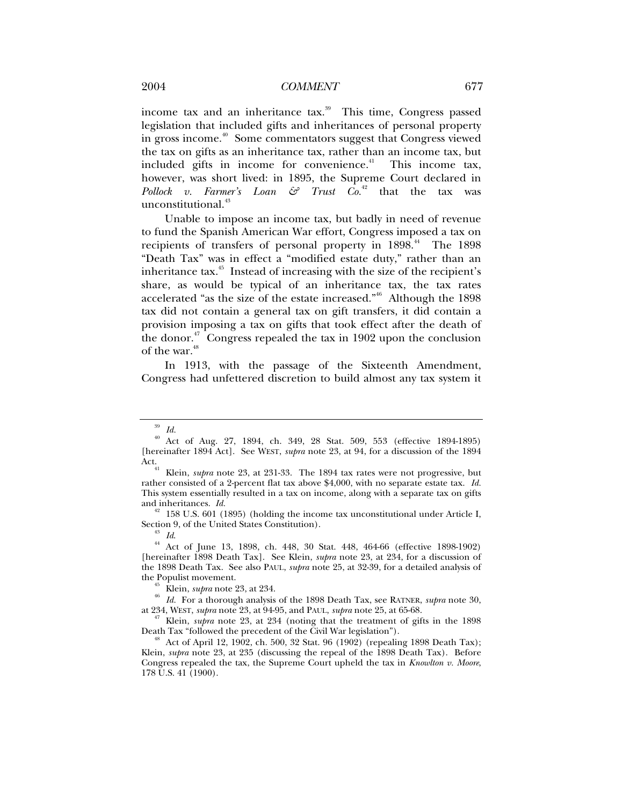income tax and an inheritance tax.<sup>39</sup> This time, Congress passed legislation that included gifts and inheritances of personal property in gross income.<sup>40</sup> Some commentators suggest that Congress viewed the tax on gifts as an inheritance tax, rather than an income tax, but included gifts in income for convenience.<sup> $41$ </sup> This income tax, however, was short lived: in 1895, the Supreme Court declared in *Pollock v. Farmer's Loan*  $\mathfrak{S}$  *Trust*  $C_0$ <sup>42</sup> that the tax was unconstitutional.<sup>43</sup>

Unable to impose an income tax, but badly in need of revenue to fund the Spanish American War effort, Congress imposed a tax on recipients of transfers of personal property in  $1898$ .<sup>44</sup> The 1898 "Death Tax" was in effect a "modified estate duty," rather than an inheritance tax. $45$  Instead of increasing with the size of the recipient's share, as would be typical of an inheritance tax, the tax rates accelerated "as the size of the estate increased." Although the 1898 tax did not contain a general tax on gift transfers, it did contain a provision imposing a tax on gifts that took effect after the death of the donor. $47$  Congress repealed the tax in 1902 upon the conclusion of the war.<sup>48</sup>

In 1913, with the passage of the Sixteenth Amendment, Congress had unfettered discretion to build almost any tax system it

and inheritances. *Id.* 42 158 U.S. 601 (1895) (holding the income tax unconstitutional under Article I, Section 9, of the United States Constitution).

<sup>43</sup> Id.<br><sup>44</sup> Act of June 13, 1898, ch. 448, 30 Stat. 448, 464-66 (effective 1898-1902). [hereinafter 1898 Death Tax]. See Klein, *supra* note 23, at 234, for a discussion of the 1898 Death Tax. See also PAUL, *supra* note 25, at 32-39, for a detailed analysis of

<sup>45</sup> Klein, *supra* note 23, at 234.<br><sup>46</sup> Id. For a thorough analysis of the 1898 Death Tax, see RATNER, *supra* note 30, at 234, WEST, *supra* note 23, at 94-95, and PAUL, *supra* note 25, at 65-68.

<sup>47</sup> Klein, *supra* note 23, at 234 (noting that the treatment of gifts in the 1898 Death Tax "followed the precedent of the Civil War legislation").

 $^{48}$  Act of April 12, 1902, ch. 500, 32 Stat. 96 (1902) (repealing 1898 Death Tax); Klein, *supra* note 23, at 235 (discussing the repeal of the 1898 Death Tax). Before Congress repealed the tax, the Supreme Court upheld the tax in *Knowlton v. Moore*, 178 U.S. 41 (1900).

<sup>39</sup> *Id.*

Act of Aug. 27, 1894, ch. 349, 28 Stat. 509, 553 (effective 1894-1895) [hereinafter 1894 Act]. See WEST, *supra* note 23, at 94, for a discussion of the 1894

Klein, *supra* note 23, at 231-33. The 1894 tax rates were not progressive, but rather consisted of a 2-percent flat tax above \$4,000, with no separate estate tax. *Id.*  This system essentially resulted in a tax on income, along with a separate tax on gifts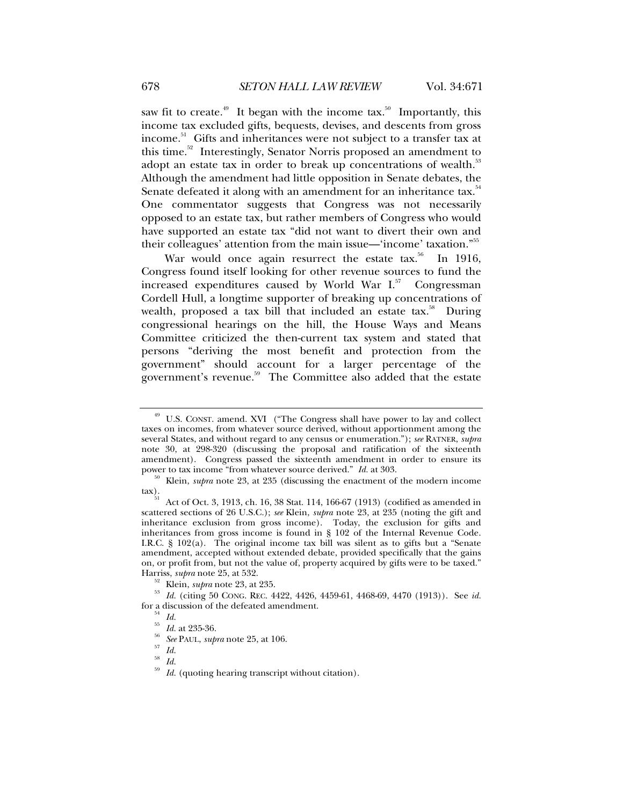saw fit to create.<sup>49</sup> It began with the income tax.<sup>50</sup> Importantly, this income tax excluded gifts, bequests, devises, and descents from gross income.<sup>51</sup> Gifts and inheritances were not subject to a transfer tax at this time.52 Interestingly, Senator Norris proposed an amendment to adopt an estate tax in order to break up concentrations of wealth.<sup>53</sup> Although the amendment had little opposition in Senate debates, the Senate defeated it along with an amendment for an inheritance tax.<sup>54</sup> One commentator suggests that Congress was not necessarily opposed to an estate tax, but rather members of Congress who would have supported an estate tax "did not want to divert their own and their colleagues' attention from the main issue—'income' taxation."55

War would once again resurrect the estate  $tax.^{56}$  In 1916, Congress found itself looking for other revenue sources to fund the increased expenditures caused by World War  $I^{57}$  Congressman Cordell Hull, a longtime supporter of breaking up concentrations of wealth, proposed a tax bill that included an estate tax.<sup>58</sup> During congressional hearings on the hill, the House Ways and Means Committee criticized the then-current tax system and stated that persons "deriving the most benefit and protection from the government" should account for a larger percentage of the government's revenue.<sup>59</sup> The Committee also added that the estate

<sup>&</sup>lt;sup>49</sup> U.S. CONST. amend. XVI ("The Congress shall have power to lay and collect taxes on incomes, from whatever source derived, without apportionment among the several States, and without regard to any census or enumeration."); *see* RATNER, *supra*  note 30, at 298-320 (discussing the proposal and ratification of the sixteenth amendment). Congress passed the sixteenth amendment in order to ensure its power to tax income "from whatever source derived."  $Id$  at 303.

<sup>&</sup>lt;sup>50</sup> Klein, *supra* note 23, at 235 (discussing the enactment of the modern income tax).

Act of Oct. 3, 1913, ch. 16, 38 Stat. 114, 166-67 (1913) (codified as amended in scattered sections of 26 U.S.C.); *see* Klein, *supra* note 23, at 235 (noting the gift and inheritance exclusion from gross income). Today, the exclusion for gifts and inheritances from gross income is found in § 102 of the Internal Revenue Code. I.R.C. § 102(a). The original income tax bill was silent as to gifts but a "Senate amendment, accepted without extended debate, provided specifically that the gains on, or profit from, but not the value of, property acquired by gifts were to be taxed." Harriss, *supra* note 25, at 532.

<sup>&</sup>lt;sup>52</sup> Klein, *supra* note 23, at 235. <br><sup>53</sup> Id. (citing 50 CONG. REC. 4422, 4426, 4459-61, 4468-69, 4470 (1913)). See id. for a discussion of the defeated amendment.<br> $\frac{54}{^{55}}$  *Id.* at 235-36.

<sup>55</sup> *Id.* at 235-36. 56 *See* PAUL, *supra* note 25, at 106. <sup>57</sup> *Id.*

<sup>58</sup> *Id.*

Id. (quoting hearing transcript without citation).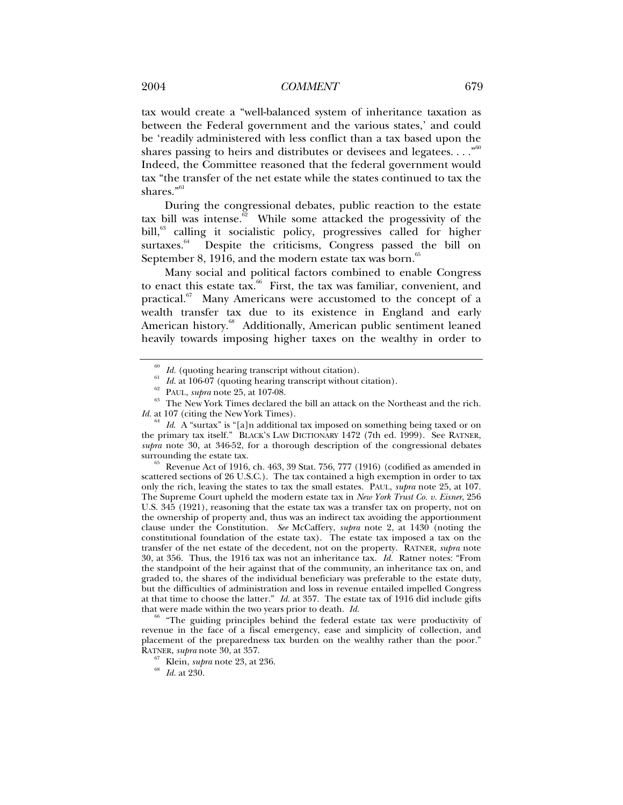tax would create a "well-balanced system of inheritance taxation as between the Federal government and the various states,' and could be 'readily administered with less conflict than a tax based upon the shares passing to heirs and distributes or devisees and legatees...."<sup>60</sup> Indeed, the Committee reasoned that the federal government would tax "the transfer of the net estate while the states continued to tax the shares."<sup>61</sup>

During the congressional debates, public reaction to the estate tax bill was intense.<sup> $\frac{62}{2}$ </sup> While some attacked the progessivity of the bill,<sup>63</sup> calling it socialistic policy, progressives called for higher surtaxes.<sup>64</sup> Despite the criticisms, Congress passed the bill on September 8, 1916, and the modern estate tax was born. $65$ 

Many social and political factors combined to enable Congress to enact this estate tax. $66$  First, the tax was familiar, convenient, and practical.<sup>67</sup> Many Americans were accustomed to the concept of a wealth transfer tax due to its existence in England and early American history.<sup>68</sup> Additionally, American public sentiment leaned heavily towards imposing higher taxes on the wealthy in order to

 $\frac{65}{100}$  Revenue Act of 1916, ch. 463, 39 Stat. 756, 777 (1916) (codified as amended in scattered sections of 26 U.S.C.). The tax contained a high exemption in order to tax only the rich, leaving the states to tax the small estates. PAUL, *supra* note 25, at 107. The Supreme Court upheld the modern estate tax in *New York Trust Co. v. Eisner*, 256 U.S. 345 (1921), reasoning that the estate tax was a transfer tax on property, not on the ownership of property and, thus was an indirect tax avoiding the apportionment clause under the Constitution. *See* McCaffery, *supra* note 2, at 1430 (noting the constitutional foundation of the estate tax). The estate tax imposed a tax on the transfer of the net estate of the decedent, not on the property. RATNER, *supra* note 30, at 356. Thus, the 1916 tax was not an inheritance tax. *Id.* Ratner notes: "From the standpoint of the heir against that of the community, an inheritance tax on, and graded to, the shares of the individual beneficiary was preferable to the estate duty, but the difficulties of administration and loss in revenue entailed impelled Congress at that time to choose the latter." *Id.* at 357. The estate tax of 1916 did include gifts that were made within the two years prior to death. *Id.* 

"The guiding principles behind the federal estate tax were productivity of revenue in the face of a fiscal emergency, ease and simplicity of collection, and placement of the preparedness tax burden on the wealthy rather than the poor."<br>RATNER, *supra* note 30, at 357.

<sup>&</sup>lt;sup>60</sup> *Id.* (quoting hearing transcript without citation).<br><sup>61</sup> *Id.* at 106-07 (quoting hearing transcript without citation).<br><sup>62</sup> PAUL, *supra* note 25, at 107-08.<br><sup>63</sup> The New York Times declared the bill an attack on t *Id.* at 107 (citing the New York Times).

Id. A "surtax" is "[a]n additional tax imposed on something being taxed or on the primary tax itself." BLACK'S LAW DICTIONARY 1472 (7th ed. 1999). See RATNER, *supra* note 30, at 346-52, for a thorough description of the congressional debates

<sup>&</sup>lt;sup>67</sup> Klein, *supra* note 23, at 236. *Id.* at 230.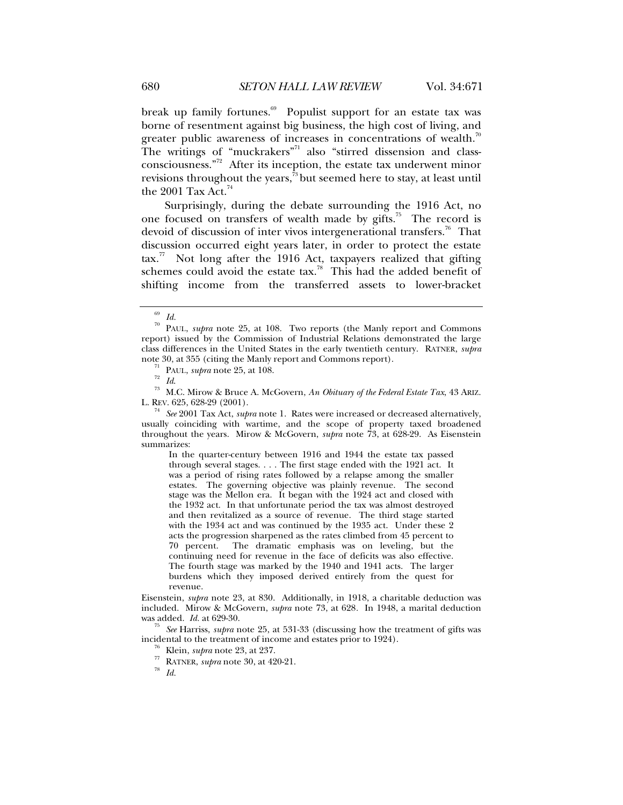break up family fortunes.<sup>69</sup> Populist support for an estate tax was borne of resentment against big business, the high cost of living, and greater public awareness of increases in concentrations of wealth.<sup>70</sup> The writings of "muckrakers"<sup>71</sup> also "stirred dissension and classconsciousness."<sup>72</sup> After its inception, the estate tax underwent minor revisions throughout the years, $73$  but seemed here to stay, at least until the 2001 Tax Act. $74$ 

Surprisingly, during the debate surrounding the 1916 Act, no one focused on transfers of wealth made by gifts.<sup>75</sup> The record is devoid of discussion of inter vivos intergenerational transfers.<sup>76</sup> That discussion occurred eight years later, in order to protect the estate  $\arctan^{77}$  Not long after the 1916 Act, taxpayers realized that gifting schemes could avoid the estate tax.<sup>78</sup> This had the added benefit of shifting income from the transferred assets to lower-bracket

L. REV. 625, 628-29 (2001). 74 *See* 2001 Tax Act, *supra* note 1. Rates were increased or decreased alternatively, usually coinciding with wartime, and the scope of property taxed broadened throughout the years. Mirow & McGovern, *supra* note 73, at 628-29. As Eisenstein summarizes:

In the quarter-century between 1916 and 1944 the estate tax passed through several stages. . . . The first stage ended with the 1921 act. It was a period of rising rates followed by a relapse among the smaller estates. The governing objective was plainly revenue. The second stage was the Mellon era. It began with the 1924 act and closed with the 1932 act. In that unfortunate period the tax was almost destroyed and then revitalized as a source of revenue. The third stage started with the 1934 act and was continued by the 1935 act. Under these 2 acts the progression sharpened as the rates climbed from 45 percent to 70 percent. The dramatic emphasis was on leveling, but the continuing need for revenue in the face of deficits was also effective. The fourth stage was marked by the 1940 and 1941 acts. The larger burdens which they imposed derived entirely from the quest for revenue.

Eisenstein, *supra* note 23, at 830. Additionally, in 1918, a charitable deduction was included. Mirow & McGovern, *supra* note 73, at 628*.* In 1948, a marital deduction

<sup>75</sup> See Harriss, *supra* note 25, at 531-33 (discussing how the treatment of gifts was incidental to the treatment of income and estates prior to 1924).

<sup>76</sup> Klein, *supra* note 23, at 237.<br><sup>77</sup> RATNER, *supra* note 30, at 420-21.<br><sup>78</sup> Id.

 $\frac{69}{70}$  *Id.* 

PAUL, *supra* note 25, at 108. Two reports (the Manly report and Commons report) issued by the Commission of Industrial Relations demonstrated the large class differences in the United States in the early twentieth century. RATNER, *supra* 

note 30, at 355 (citing the Manly report and Commons report).<br><sup>71</sup> PAUL, *supra* note 25, at 108.<br><sup>72</sup> *Id.* <sup>73</sup> M.C. Mirow & Bruce A. McGovern, *An Obituary of the Federal Estate Tax*, 43 ARIZ.<br>L. REV. 625, 628-29 (2001)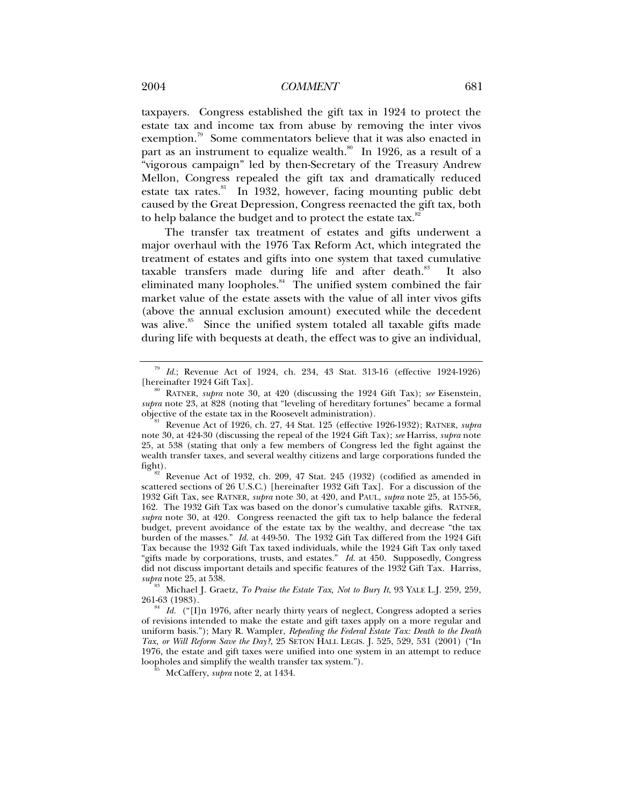#### 2004 *COMMENT* 681

taxpayers. Congress established the gift tax in 1924 to protect the estate tax and income tax from abuse by removing the inter vivos exemption.<sup>79</sup> Some commentators believe that it was also enacted in part as an instrument to equalize wealth.<sup>80</sup> In 1926, as a result of a "vigorous campaign" led by then-Secretary of the Treasury Andrew Mellon, Congress repealed the gift tax and dramatically reduced estate tax rates.<sup>81</sup> In 1932, however, facing mounting public debt caused by the Great Depression, Congress reenacted the gift tax, both to help balance the budget and to protect the estate tax.<sup>82</sup>

The transfer tax treatment of estates and gifts underwent a major overhaul with the 1976 Tax Reform Act, which integrated the treatment of estates and gifts into one system that taxed cumulative taxable transfers made during life and after death.<sup>83</sup> It also eliminated many loopholes. $84$  The unified system combined the fair market value of the estate assets with the value of all inter vivos gifts (above the annual exclusion amount) executed while the decedent was alive.<sup>85</sup> Since the unified system totaled all taxable gifts made during life with bequests at death, the effect was to give an individual,

<sup>&</sup>lt;sup>79</sup> Id.; Revenue Act of 1924, ch. 234, 43 Stat. 313-16 (effective 1924-1926) [hereinafter 1924 Gift Tax].

RATNER, *supra* note 30, at 420 (discussing the 1924 Gift Tax); *see* Eisenstein, *supra* note 23, at 828 (noting that "leveling of hereditary fortunes" became a formal objective of the estate tax in the Roosevelt administration).

Revenue Act of 1926, ch. 27, 44 Stat. 125 (effective 1926-1932); RATNER, *supra* note 30, at 424-30 (discussing the repeal of the 1924 Gift Tax); *see* Harriss, *supra* note 25, at 538 (stating that only a few members of Congress led the fight against the wealth transfer taxes, and several wealthy citizens and large corporations funded the

fight).<br><sup>82</sup> Revenue Act of 1932, ch. 209, 47 Stat. 245 (1932) (codified as amended in scattered sections of 26 U.S.C.) [hereinafter 1932 Gift Tax]. For a discussion of the 1932 Gift Tax, see RATNER, *supra* note 30, at 420, and PAUL, *supra* note 25, at 155-56, 162. The 1932 Gift Tax was based on the donor's cumulative taxable gifts. RATNER, *supra* note 30, at 420*.* Congress reenacted the gift tax to help balance the federal budget, prevent avoidance of the estate tax by the wealthy, and decrease "the tax burden of the masses." *Id.* at 449-50. The 1932 Gift Tax differed from the 1924 Gift Tax because the 1932 Gift Tax taxed individuals, while the 1924 Gift Tax only taxed "gifts made by corporations, trusts, and estates." *Id.* at 450. Supposedly, Congress did not discuss important details and specific features of the 1932 Gift Tax. Harriss,

*supra* note 25, at 538. 83 Michael J. Graetz, *To Praise the Estate Tax, Not to Bury It*, 93 YALE L.J. 259, 259,

<sup>261-63 (1983). 84</sup> *Id.* ("[I]n 1976, after nearly thirty years of neglect, Congress adopted a series of revisions intended to make the estate and gift taxes apply on a more regular and uniform basis."); Mary R. Wampler, *Repealing the Federal Estate Tax: Death to the Death Tax, or Will Reform Save the Day?*, 25 SETON HALL LEGIS. J. 525, 529, 531 (2001) ("In 1976, the estate and gift taxes were unified into one system in an attempt to reduce loopholes and simplify the wealth transfer tax system."). 85 McCaffery, *supra* note <sup>2</sup>*,* at 1434.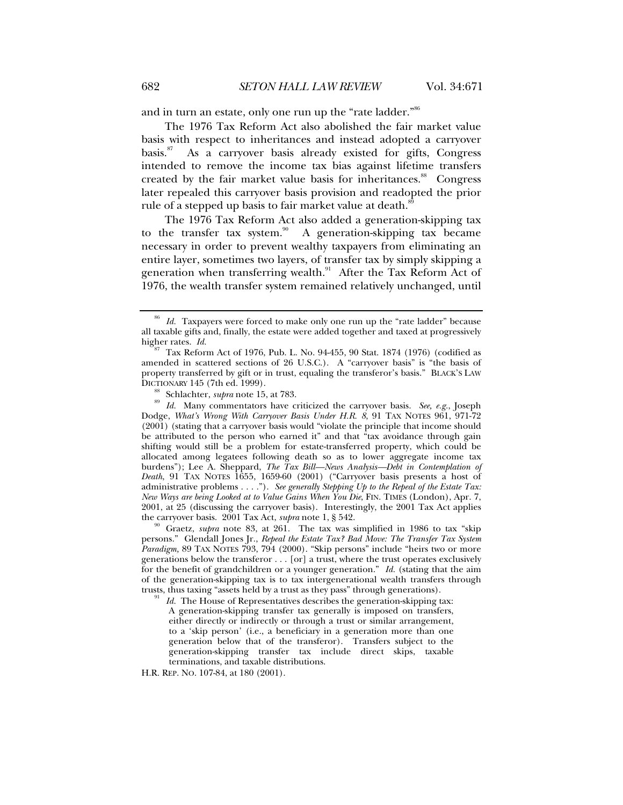and in turn an estate, only one run up the "rate ladder."<sup>86</sup>

The 1976 Tax Reform Act also abolished the fair market value basis with respect to inheritances and instead adopted a carryover basis.87 As a carryover basis already existed for gifts, Congress intended to remove the income tax bias against lifetime transfers created by the fair market value basis for inheritances.<sup>88</sup> Congress later repealed this carryover basis provision and readopted the prior rule of a stepped up basis to fair market value at death.<sup>8</sup>

The 1976 Tax Reform Act also added a generation-skipping tax to the transfer tax system.<sup>90</sup> A generation-skipping tax became necessary in order to prevent wealthy taxpayers from eliminating an entire layer, sometimes two layers, of transfer tax by simply skipping a generation when transferring wealth. $91$  After the Tax Reform Act of 1976, the wealth transfer system remained relatively unchanged, until

A generation-skipping transfer tax generally is imposed on transfers, either directly or indirectly or through a trust or similar arrangement, to a 'skip person' (i.e., a beneficiary in a generation more than one generation below that of the transferor). Transfers subject to the generation-skipping transfer tax include direct skips, taxable terminations, and taxable distributions.

H.R. REP. NO. 107-84, at 180 (2001).

<sup>86</sup> *Id.* Taxpayers were forced to make only one run up the "rate ladder" because all taxable gifts and, finally, the estate were added together and taxed at progressively higher rates.  $Id$ .

<sup>&</sup>lt;sup>87</sup> Tax Reform Act of 1976, Pub. L. No. 94-455, 90 Stat. 1874 (1976) (codified as amended in scattered sections of 26 U.S.C.). A "carryover basis" is "the basis of property transferred by gift or in trust, equaling the transferor's basis." BLACK'S LAW

DICTIONARY 145 (7th ed. 1999).<br><sup>88</sup> Schlachter, *supra* note 15, at 783.<br><sup>89</sup> Id. Many commentators have criticized the carryover basis. *See, e.g.*, Joseph Dodge, *What's Wrong With Carryover Basis Under H.R. 8*, 91 TAX NOTES 961, 971-72 (2001) (stating that a carryover basis would "violate the principle that income should be attributed to the person who earned it" and that "tax avoidance through gain shifting would still be a problem for estate-transferred property, which could be allocated among legatees following death so as to lower aggregate income tax burdens"); Lee A. Sheppard, *The Tax Bill—News Analysis—Debt in Contemplation of Death*, 91 TAX NOTES 1655, 1659-60 (2001) ("Carryover basis presents a host of administrative problems . . . ."). *See generally Stepping Up to the Repeal of the Estate Tax: New Ways are being Looked at to Value Gains When You Die*, FIN. TIMES (London), Apr. 7, 2001, at 25 (discussing the carryover basis). Interestingly, the 2001 Tax Act applies the carryover basis. 2001 Tax Act, *supra* note 1, § 542.<br><sup>90</sup> Graetz, *supra* note 83, at 261. The tax was simplified in 1986 to tax "skip

persons." Glendall Jones Jr., *Repeal the Estate Tax? Bad Move: The Transfer Tax System Paradigm,* 89 TAX NOTES 793, 794 (2000). "Skip persons" include "heirs two or more generations below the transferor . . . [or] a trust, where the trust operates exclusively for the benefit of grandchildren or a younger generation." *Id.* (stating that the aim of the generation-skipping tax is to tax intergenerational wealth transfers through trusts, thus taxing "assets held by a trust as they pass" through generations). 91 *Id.* The House of Representatives describes the generation-skipping tax: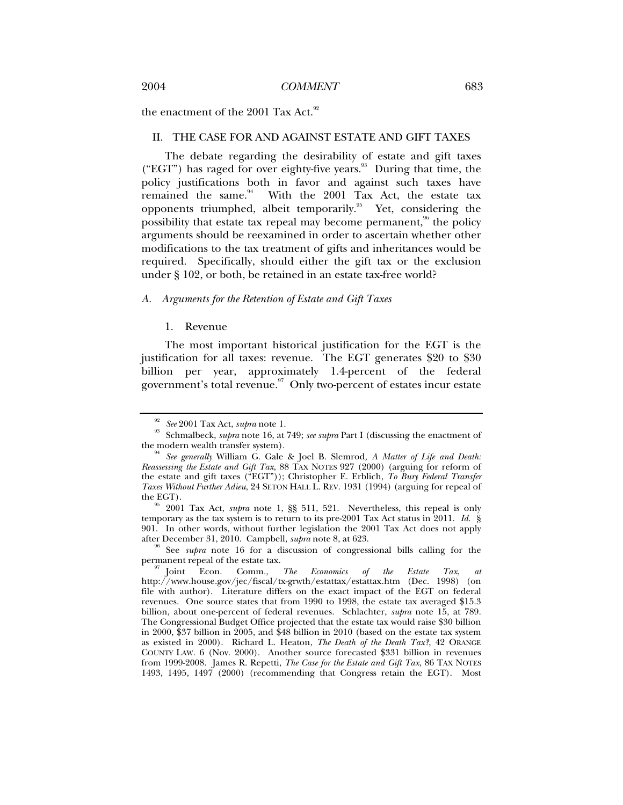the enactment of the 2001 Tax Act.<sup>92</sup>

#### II. THE CASE FOR AND AGAINST ESTATE AND GIFT TAXES

The debate regarding the desirability of estate and gift taxes ("EGT") has raged for over eighty-five years.<sup>93</sup> During that time, the policy justifications both in favor and against such taxes have remained the same. $94$  With the 2001 Tax Act, the estate tax opponents triumphed, albeit temporarily.<sup>95</sup> Yet, considering the possibility that estate tax repeal may become permanent,  $96$  the policy arguments should be reexamined in order to ascertain whether other modifications to the tax treatment of gifts and inheritances would be required. Specifically, should either the gift tax or the exclusion under § 102, or both, be retained in an estate tax-free world?

#### *A. Arguments for the Retention of Estate and Gift Taxes*

#### 1. Revenue

The most important historical justification for the EGT is the justification for all taxes: revenue. The EGT generates \$20 to \$30 billion per year, approximately 1.4-percent of the federal government's total revenue. $\frac{97}{10}$  Only two-percent of estates incur estate

<sup>&</sup>lt;sup>92</sup> See 2001 Tax Act, *supra* note 1.<br><sup>93</sup> Schmalbeck, *supra* note 16, at 749; *see supra* Part I (discussing the enactment of the modern wealth transfer system).

<sup>&</sup>lt;sup>94</sup> See generally William G. Gale & Joel B. Slemrod, A Matter of Life and Death: *Reassessing the Estate and Gift Tax*, 88 TAX NOTES 927 (2000) (arguing for reform of the estate and gift taxes ("EGT")); Christopher E. Erblich, *To Bury Federal Transfer Taxes Without Further Adieu*, 24 SETON HALL L. REV. 1931 (1994) (arguing for repeal of

<sup>2001</sup> Tax Act, *supra* note 1, §§ 511, 521. Nevertheless, this repeal is only temporary as the tax system is to return to its pre-2001 Tax Act status in 2011. *Id.* § 901. In other words, without further legislation the 2001 Tax Act does not apply after December 31, 2010. Campbell, *supra* note 8, at 623.<br><sup>96</sup> See *subra* note 16 for a discussion of congressional bills calling for the

permanent repeal of the estate tax.<br><sup>97</sup> Joint Econ. Comm., *The Economics of the Estate Tax*, *at* 

http://www.house.gov/jec/fiscal/tx-grwth/estattax/estattax.htm (Dec. 1998) (on file with author). Literature differs on the exact impact of the EGT on federal revenues. One source states that from 1990 to 1998, the estate tax averaged \$15.3 billion, about one-percent of federal revenues. Schlachter, *supra* note 15, at 789. The Congressional Budget Office projected that the estate tax would raise \$30 billion in 2000, \$37 billion in 2005, and \$48 billion in 2010 (based on the estate tax system as existed in 2000). Richard L. Heaton, *The Death of the Death Tax?*, 42 ORANGE COUNTY LAW. 6 (Nov. 2000). Another source forecasted \$331 billion in revenues from 1999-2008. James R. Repetti, *The Case for the Estate and Gift Tax*, 86 TAX NOTES 1493, 1495, 1497 (2000) (recommending that Congress retain the EGT). Most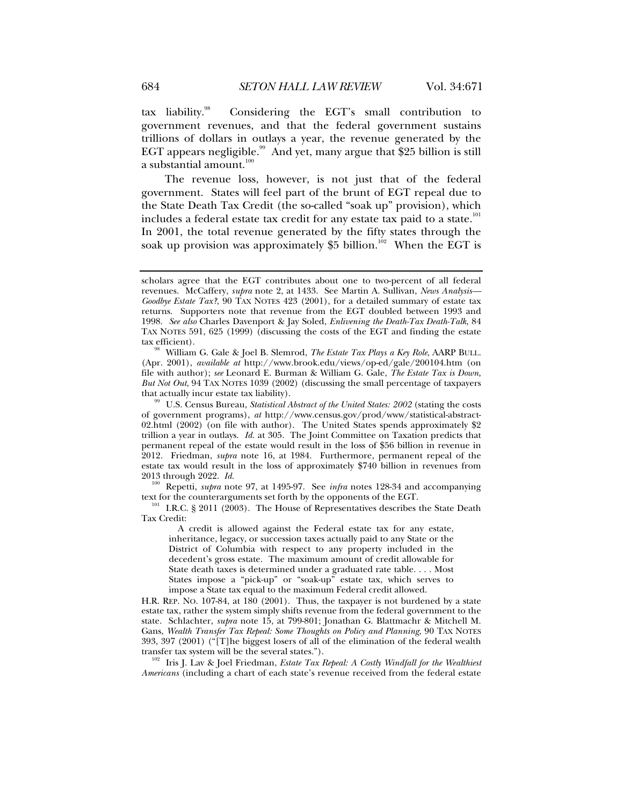tax liability.98 Considering the EGT's small contribution to government revenues, and that the federal government sustains trillions of dollars in outlays a year, the revenue generated by the EGT appears negligible.<sup>99</sup> And yet, many argue that \$25 billion is still a substantial amount. $100$ 

The revenue loss, however, is not just that of the federal government. States will feel part of the brunt of EGT repeal due to the State Death Tax Credit (the so-called "soak up" provision), which includes a federal estate tax credit for any estate tax paid to a state.<sup>101</sup> In 2001, the total revenue generated by the fifty states through the soak up provision was approximately \$5 billion.<sup>102</sup> When the EGT is

of government programs), *at* http://www.census.gov/prod/www/statistical-abstract-02.html (2002) (on file with author). The United States spends approximately \$2 trillion a year in outlays. *Id.* at 305. The Joint Committee on Taxation predicts that permanent repeal of the estate would result in the loss of \$56 billion in revenue in 2012. Friedman, *supra* note 16, at 1984. Furthermore, permanent repeal of the estate tax would result in the loss of approximately \$740 billion in revenues from

<sup>100</sup> Repetti, *supra* note 97, at 1495-97. See *infra* notes 128-34 and accompanying text for the counterarguments set forth by the opponents of the EGT.

 $101$  I.R.C. § 2011 (2003). The House of Representatives describes the State Death Tax Credit:

A credit is allowed against the Federal estate tax for any estate, inheritance, legacy, or succession taxes actually paid to any State or the District of Columbia with respect to any property included in the decedent's gross estate. The maximum amount of credit allowable for State death taxes is determined under a graduated rate table. . . . Most States impose a "pick-up" or "soak-up" estate tax, which serves to impose a State tax equal to the maximum Federal credit allowed.

H.R. REP. NO. 107-84, at 180 (2001). Thus, the taxpayer is not burdened by a state estate tax, rather the system simply shifts revenue from the federal government to the state. Schlachter, *supra* note 15, at 799-801; Jonathan G. Blattmachr & Mitchell M. Gans, *Wealth Transfer Tax Repeal: Some Thoughts on Policy and Planning*, 90 TAX NOTES 393, 397 (2001) ("[T]he biggest losers of all of the elimination of the federal wealth transfer tax system will be the several states.").<br><sup>102</sup> Iris J. Lav & Joel Friedman, *Estate Tax Repeal: A Costly Windfall for the Wealthiest* 

*Americans* (including a chart of each state's revenue received from the federal estate

scholars agree that the EGT contributes about one to two-percent of all federal revenues. McCaffery, *supra* note 2, at 1433. See Martin A. Sullivan, *News Analysis— Goodbye Estate Tax?*, 90 TAX NOTES 423 (2001), for a detailed summary of estate tax returns. Supporters note that revenue from the EGT doubled between 1993 and 1998. *See also* Charles Davenport & Jay Soled, *Enlivening the Death-Tax Death-Talk*, 84 TAX NOTES 591, 625 (1999) (discussing the costs of the EGT and finding the estate

William G. Gale & Joel B. Slemrod, *The Estate Tax Plays a Key Role*, AARP BULL. (Apr. 2001), *available at* http://www.brook.edu/views/op-ed/gale/200104.htm (on file with author); *see* Leonard E. Burman & William G. Gale, *The Estate Tax is Down, But Not Out*, 94 TAX NOTES 1039 (2002) (discussing the small percentage of taxpayers that actually incur estate tax liability).<br><sup>99</sup> U.S. Census Bureau, *Statistical Abstract of the United States: 2002* (stating the costs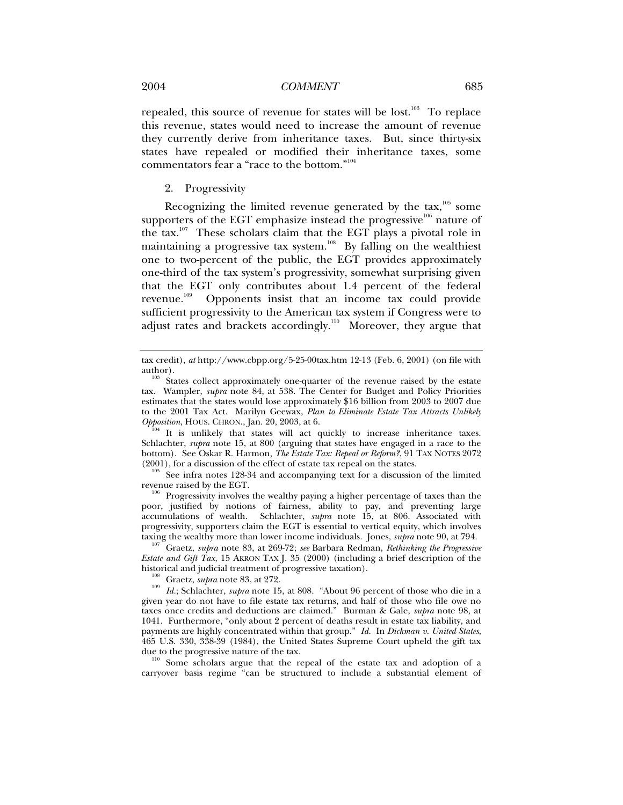repealed, this source of revenue for states will be lost.<sup>103</sup> To replace this revenue, states would need to increase the amount of revenue they currently derive from inheritance taxes. But, since thirty-six states have repealed or modified their inheritance taxes, some commentators fear a "race to the bottom."104

2. Progressivity

Recognizing the limited revenue generated by the  $\text{tax},^{105}$  some supporters of the EGT emphasize instead the progressive $106$  nature of the tax.107 These scholars claim that the EGT plays a pivotal role in maintaining a progressive tax system.<sup>108</sup> By falling on the wealthiest one to two-percent of the public, the EGT provides approximately one-third of the tax system's progressivity, somewhat surprising given that the EGT only contributes about 1.4 percent of the federal revenue.<sup>109</sup> Opponents insist that an income tax could provide sufficient progressivity to the American tax system if Congress were to adjust rates and brackets accordingly.<sup>110</sup> Moreover, they argue that

It is unlikely that states will act quickly to increase inheritance taxes. Schlachter, *supra* note 15, at 800 (arguing that states have engaged in a race to the bottom). See Oskar R. Harmon, *The Estate Tax: Repeal or Reform?*, 91 TAX NOTES 2072 (2001), for a discussion of the effect of estate tax repeal on the states.

 $\frac{105}{105}$  See infra notes 128-34 and accompanying text for a discussion of the limited revenue raised by the EGT.

 $\mu$ <sup>6</sup> Progressivity involves the wealthy paying a higher percentage of taxes than the poor, justified by notions of fairness, ability to pay, and preventing large accumulations of wealth. Schlachter, *supra* note 15, at 806. Associated with progressivity, supporters claim the EGT is essential to vertical equity, which involves taxing the wealthy more than lower income individuals. Jones, *supra* note 90, at 794. 107 Graetz, *supra* note 83, at 269-72; *see* Barbara Redman, *Rethinking the Progressive* 

*Estate and Gift Tax*, 15 AKRON TAX J. 35 (2000) (including a brief description of the historical and judicial treatment of progressive taxation).

<sup>108</sup> Graetz, *supra* note 83, at 272.<br><sup>109</sup> Id.; Schlachter, *supra* note 15, at 808. "About 96 percent of those who die in a given year do not have to file estate tax returns, and half of those who file owe no taxes once credits and deductions are claimed." Burman & Gale, *supra* note 98, at 1041. Furthermore, "only about 2 percent of deaths result in estate tax liability, and payments are highly concentrated within that group." *Id.* In *Dickman v. United States*, 465 U.S. 330, 338-39 (1984), the United States Supreme Court upheld the gift tax

due to the progressive nature of the tax.<br><sup>110</sup> Some scholars argue that the repeal of the estate tax and adoption of a carryover basis regime "can be structured to include a substantial element of

tax credit), *at* http://www.cbpp.org/5-25-00tax.htm 12-13 (Feb. 6, 2001) (on file with

 $103$  States collect approximately one-quarter of the revenue raised by the estate tax. Wampler, *supra* note 84, at 538. The Center for Budget and Policy Priorities estimates that the states would lose approximately \$16 billion from 2003 to 2007 due to the 2001 Tax Act. Marilyn Geewax, *Plan to Eliminate Estate Tax Attracts Unlikely*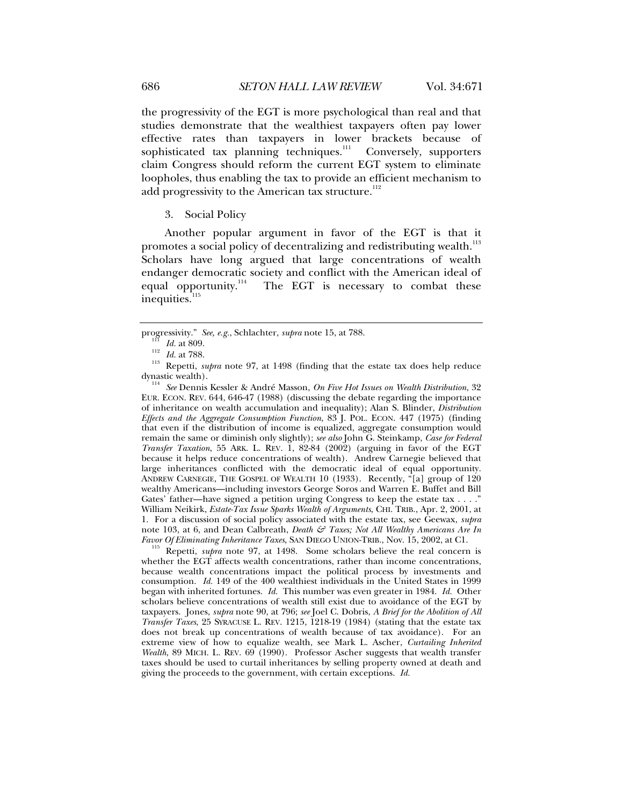the progressivity of the EGT is more psychological than real and that studies demonstrate that the wealthiest taxpayers often pay lower effective rates than taxpayers in lower brackets because of sophisticated tax planning techniques. $\frac{1}{111}$  Conversely, supporters claim Congress should reform the current EGT system to eliminate loopholes, thus enabling the tax to provide an efficient mechanism to add progressivity to the American tax structure. $^{112}$ 

3. Social Policy

Another popular argument in favor of the EGT is that it promotes a social policy of decentralizing and redistributing wealth.<sup>113</sup> Scholars have long argued that large concentrations of wealth endanger democratic society and conflict with the American ideal of equal opportunity.<sup>114</sup> The EGT is necessary to combat these The EGT is necessary to combat these inequities.<sup>115</sup>

<sup>114</sup> See Dennis Kessler & André Masson, *On Five Hot Issues on Wealth Distribution*, 32 EUR. ECON. REV. 644, 646-47 (1988) (discussing the debate regarding the importance of inheritance on wealth accumulation and inequality); Alan S. Blinder, *Distribution Effects and the Aggregate Consumption Function*, 83 J. POL. ECON. 447 (1975) (finding that even if the distribution of income is equalized, aggregate consumption would remain the same or diminish only slightly); *see also* John G. Steinkamp, *Case for Federal Transfer Taxation*, 55 ARK. L. REV. 1, 82-84 (2002) (arguing in favor of the EGT because it helps reduce concentrations of wealth). Andrew Carnegie believed that large inheritances conflicted with the democratic ideal of equal opportunity. ANDREW CARNEGIE, THE GOSPEL OF WEALTH 10 (1933). Recently, "[a] group of 120 wealthy Americans—including investors George Soros and Warren E. Buffet and Bill Gates' father—have signed a petition urging Congress to keep the estate tax . . . ." William Neikirk, *Estate-Tax Issue Sparks Wealth of Arguments*, CHI. TRIB., Apr. 2, 2001, at 1. For a discussion of social policy associated with the estate tax, see Geewax, *supra*  note 103, at 6, and Dean Calbreath, *Death & Taxes; Not All Wealthy Americans Are In Favor Of Eliminating Inheritance Taxes*, SAN DIEGO UNION-TRIB., Nov. 15, 2002, at C1.

<sup>115</sup> Repetti, *supra* note 97, at 1498. Some scholars believe the real concern is whether the EGT affects wealth concentrations, rather than income concentrations, because wealth concentrations impact the political process by investments and consumption. *Id.* 149 of the 400 wealthiest individuals in the United States in 1999 began with inherited fortunes. *Id.* This number was even greater in 1984. *Id.* Other scholars believe concentrations of wealth still exist due to avoidance of the EGT by taxpayers. Jones, *supra* note 90, at 796; *see* Joel C. Dobris, *A Brief for the Abolition of All Transfer Taxes*, 25 SYRACUSE L. REV. 1215, 1218-19 (1984) (stating that the estate tax does not break up concentrations of wealth because of tax avoidance). For an extreme view of how to equalize wealth, see Mark L. Ascher, *Curtailing Inherited Wealth*, 89 MICH. L. REV. 69 (1990). Professor Ascher suggests that wealth transfer taxes should be used to curtail inheritances by selling property owned at death and giving the proceeds to the government, with certain exceptions. *Id.* 

progressivity." *See, e.g.*, Schlachter, *supra* note 15, at 788.<br>
<sup>112</sup> *Id.* at 788.<br>
<sup>113</sup> Repetti, *supra* note 97, at 1498 (finding that the estate tax does help reduce dynastic wealth).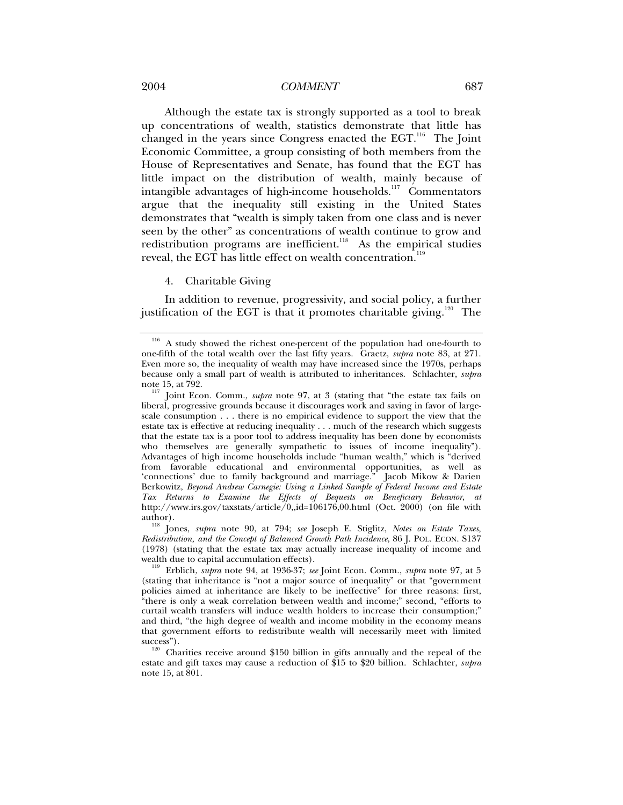#### 2004 *COMMENT* 687

Although the estate tax is strongly supported as a tool to break up concentrations of wealth, statistics demonstrate that little has changed in the years since Congress enacted the  $EGT$ .<sup>116</sup> The Joint Economic Committee, a group consisting of both members from the House of Representatives and Senate, has found that the EGT has little impact on the distribution of wealth, mainly because of intangible advantages of high-income households.<sup>117</sup> Commentators argue that the inequality still existing in the United States demonstrates that "wealth is simply taken from one class and is never seen by the other" as concentrations of wealth continue to grow and redistribution programs are inefficient.<sup>118</sup> As the empirical studies reveal, the EGT has little effect on wealth concentration.<sup>119</sup>

4. Charitable Giving

In addition to revenue, progressivity, and social policy, a further justification of the EGT is that it promotes charitable giving.<sup>120</sup> The

A study showed the richest one-percent of the population had one-fourth to one-fifth of the total wealth over the last fifty years. Graetz, *supra* note 83, at 271. Even more so, the inequality of wealth may have increased since the 1970s, perhaps because only a small part of wealth is attributed to inheritances. Schlachter, *supra* note 15, at 792.

<sup>&</sup>lt;sup>117</sup> Joint Econ. Comm., *supra* note 97, at 3 (stating that "the estate tax fails on liberal, progressive grounds because it discourages work and saving in favor of largescale consumption . . . there is no empirical evidence to support the view that the estate tax is effective at reducing inequality . . . much of the research which suggests that the estate tax is a poor tool to address inequality has been done by economists who themselves are generally sympathetic to issues of income inequality"). Advantages of high income households include "human wealth," which is "derived from favorable educational and environmental opportunities, as well as 'connections' due to family background and marriage." Jacob Mikow & Darien Berkowitz, *Beyond Andrew Carnegie: Using a Linked Sample of Federal Income and Estate Tax Returns to Examine the Effects of Bequests on Beneficiary Behavior*, *at* http://www.irs.gov/taxstats/article/0,,id=106176,00.html (Oct. 2000) (on file with

author). 118 Jones, *supra* note 90, at 794; *see* Joseph E. Stiglitz, *Notes on Estate Taxes, Redistribution, and the Concept of Balanced Growth Path Incidence*, 86 J. POL. ECON. S137 (1978) (stating that the estate tax may actually increase inequality of income and

<sup>&</sup>lt;sup>119</sup> Erblich, *supra* note 94, at 1936-37; *see* Joint Econ. Comm., *supra* note 97, at 5 (stating that inheritance is "not a major source of inequality" or that "government policies aimed at inheritance are likely to be ineffective" for three reasons: first, "there is only a weak correlation between wealth and income;" second, "efforts to curtail wealth transfers will induce wealth holders to increase their consumption;" and third, "the high degree of wealth and income mobility in the economy means that government efforts to redistribute wealth will necessarily meet with limited

 $120$  Charities receive around \$150 billion in gifts annually and the repeal of the estate and gift taxes may cause a reduction of \$15 to \$20 billion. Schlachter, *supra*  note 15, at 801.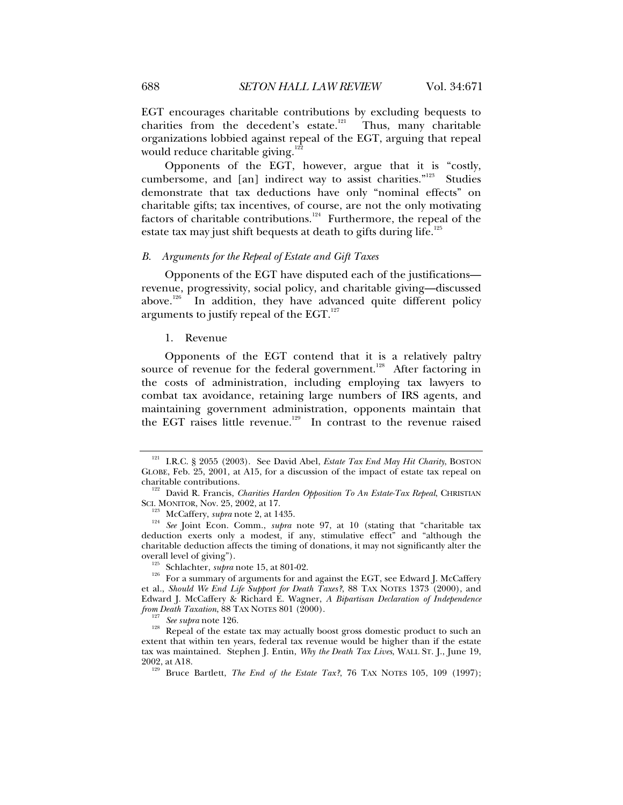EGT encourages charitable contributions by excluding bequests to charities from the decedent's estate.<sup>121</sup> Thus, many charitable organizations lobbied against repeal of the EGT, arguing that repeal would reduce charitable giving. $122$ 

Opponents of the EGT, however, argue that it is "costly, cumbersome, and [an] indirect way to assist charities."<sup>123</sup> Studies demonstrate that tax deductions have only "nominal effects" on charitable gifts; tax incentives, of course, are not the only motivating factors of charitable contributions.<sup>124</sup> Furthermore, the repeal of the estate tax may just shift bequests at death to gifts during life.<sup>125</sup>

### *B. Arguments for the Repeal of Estate and Gift Taxes*

Opponents of the EGT have disputed each of the justifications revenue, progressivity, social policy, and charitable giving—discussed above.<sup>126</sup> In addition, they have advanced quite different policy arguments to justify repeal of the EGT. $127$ 

1. Revenue

Opponents of the EGT contend that it is a relatively paltry source of revenue for the federal government.<sup>128</sup> After factoring in the costs of administration, including employing tax lawyers to combat tax avoidance, retaining large numbers of IRS agents, and maintaining government administration, opponents maintain that the EGT raises little revenue.<sup>129</sup> In contrast to the revenue raised

<sup>&</sup>lt;sup>121</sup> I.R.C. § 2055 (2003). See David Abel, *Estate Tax End May Hit Charity*, BOSTON GLOBE, Feb. 25, 2001, at A15, for a discussion of the impact of estate tax repeal on

charitable contributions.<br><sup>122</sup> David R. Francis, *Charities Harden Opposition To An Estate-Tax Repeal*, CHRISTIAN<br>SCI. MONITOR, Nov. 25, 2002, at 17.

<sup>&</sup>lt;sup>123</sup> McCaffery, *supra* note 2, at 1435.<br><sup>124</sup> *See* Joint Econ. Comm., *supra* note 97, at 10 (stating that "charitable tax deduction exerts only a modest, if any, stimulative effect" and "although the charitable deduction affects the timing of donations, it may not significantly alter the

<sup>&</sup>lt;sup>125</sup> Schlachter, *supra* note 15, at 801-02.<br><sup>126</sup> For a summary of arguments for and against the EGT, see Edward J. McCaffery et al., *Should We End Life Support for Death Taxes?*, 88 TAX NOTES 1373 (2000), and Edward J. McCaffery & Richard E. Wagner, *A Bipartisan Declaration of Independence* 

<sup>&</sup>lt;sup>127</sup> See supra note 126.<br><sup>128</sup> Repeal of the estate tax may actually boost gross domestic product to such an extent that within ten years, federal tax revenue would be higher than if the estate tax was maintained. Stephen J. Entin, *Why the Death Tax Lives*, WALL ST. J., June 19, 2002, at A18. 129 Bruce Bartlett, *The End of the Estate Tax?*, 76 TAX NOTES 105, 109 (1997);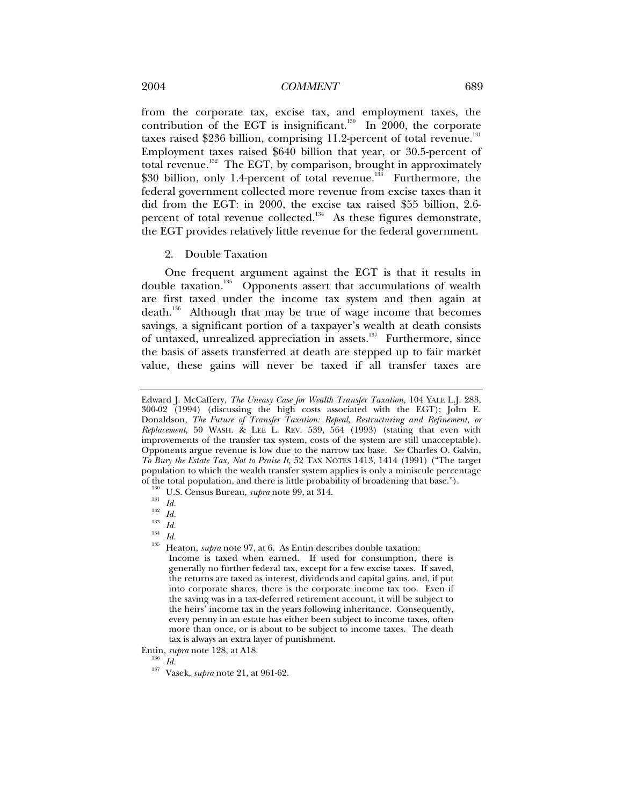from the corporate tax, excise tax, and employment taxes, the contribution of the EGT is insignificant.<sup>130</sup> In 2000, the corporate taxes raised \$236 billion, comprising 11.2-percent of total revenue. $^{131}$ Employment taxes raised \$640 billion that year, or 30.5-percent of total revenue.<sup>132</sup> The EGT, by comparison, brought in approximately \$30 billion, only 1.4-percent of total revenue.<sup>133</sup> Furthermore, the federal government collected more revenue from excise taxes than it did from the EGT: in 2000, the excise tax raised \$55 billion, 2.6 percent of total revenue collected.<sup>134</sup> As these figures demonstrate, the EGT provides relatively little revenue for the federal government.

2. Double Taxation

One frequent argument against the EGT is that it results in double taxation.<sup>135</sup> Opponents assert that accumulations of wealth are first taxed under the income tax system and then again at death.<sup>136</sup> Although that may be true of wage income that becomes savings, a significant portion of a taxpayer's wealth at death consists of untaxed, unrealized appreciation in assets.<sup>137</sup> Furthermore, since the basis of assets transferred at death are stepped up to fair market value, these gains will never be taxed if all transfer taxes are

Edward J. McCaffery, *The Uneasy Case for Wealth Transfer Taxation,* 104 YALE L.J. 283, 300-02 (1994) (discussing the high costs associated with the EGT); John E. Donaldson, *The Future of Transfer Taxation: Repeal, Restructuring and Refinement, or Replacement*, 50 WASH. & LEE L. REV. 539, 564 (1993) (stating that even with improvements of the transfer tax system, costs of the system are still unacceptable). Opponents argue revenue is low due to the narrow tax base. *See* Charles O. Galvin, *To Bury the Estate Tax, Not to Praise It*, 52 TAX NOTES 1413, 1414 (1991) ("The target population to which the wealth transfer system applies is only a miniscule percentage

<sup>%</sup> of the total population, and there is little probability of broadening that base.").<br>
<sup>130</sup> U.S. Census Bureau, *supra* note 99, at 314.<br>
<sup>131</sup> *Id.*<br>
<sup>132</sup> *Id.*<br>
<sup>133</sup> *Id.*<br>
<sup>134</sup> *Id.*<br>
<sup>134</sup> *Id.*<br>
<sup>134</sup> *Id.*<br>
<sup>13</sup> Income is taxed when earned. If used for consumption, there is generally no further federal tax, except for a few excise taxes. If saved, the returns are taxed as interest, dividends and capital gains, and, if put into corporate shares, there is the corporate income tax too. Even if the saving was in a tax-deferred retirement account, it will be subject to the heirs' income tax in the years following inheritance. Consequently, every penny in an estate has either been subject to income taxes, often more than once, or is about to be subject to income taxes. The death tax is always an extra layer of punishment.

Entin, *supra* note 128, at A18. 136 *Id.* 137 Vasek, *supra* note 21, at 961-62.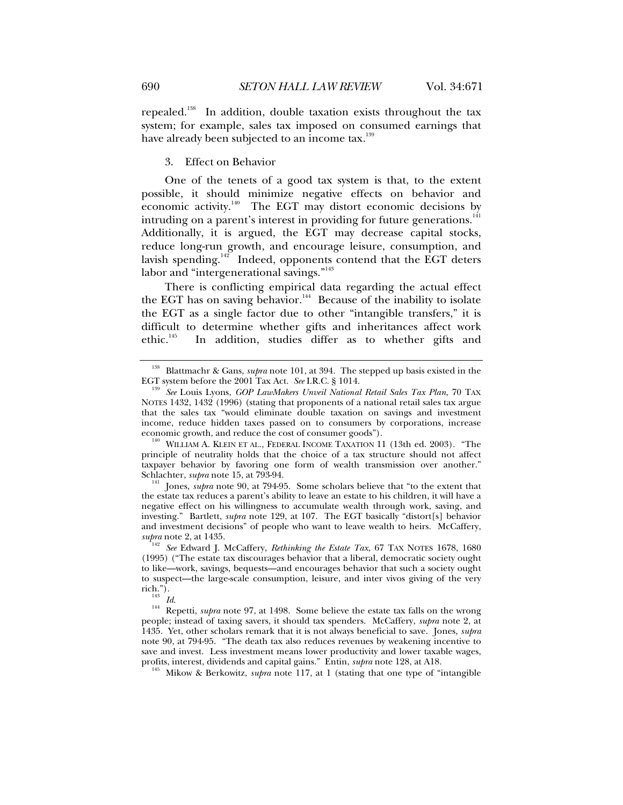repealed.<sup>138</sup> In addition, double taxation exists throughout the tax system; for example, sales tax imposed on consumed earnings that have already been subjected to an income tax.<sup>139</sup>

3. Effect on Behavior

One of the tenets of a good tax system is that, to the extent possible, it should minimize negative effects on behavior and economic activity.<sup>140</sup> The EGT may distort economic decisions by intruding on a parent's interest in providing for future generations. $^\mathrm{141}$ Additionally, it is argued, the EGT may decrease capital stocks, reduce long-run growth, and encourage leisure, consumption, and lavish spending. $142^{\circ}$  Indeed, opponents contend that the EGT deters labor and "intergenerational savings."<sup>143</sup>

There is conflicting empirical data regarding the actual effect the EGT has on saving behavior.<sup>144</sup> Because of the inability to isolate the EGT as a single factor due to other "intangible transfers," it is difficult to determine whether gifts and inheritances affect work<br>ethic.<sup>145</sup> In addition, studies differ as to whether gifts and In addition, studies differ as to whether gifts and

<sup>141</sup> Jones, *supra* note 90, at 794-95. Some scholars believe that "to the extent that the estate tax reduces a parent's ability to leave an estate to his children, it will have a negative effect on his willingness to accumulate wealth through work, saving, and investing." Bartlett, *supra* note 129, at 107. The EGT basically "distort[s] behavior and investment decisions" of people who want to leave wealth to heirs. McCaffery, supra note 2, at 1435.

rich."). 143 *Id*. 144 Repetti, *supra* note 97, at 1498. Some believe the estate tax falls on the wrong people; instead of taxing savers, it should tax spenders. McCaffery, *supra* note 2, at 1435. Yet, other scholars remark that it is not always beneficial to save. Jones, *supra*  note 90, at 794-95. "The death tax also reduces revenues by weakening incentive to save and invest. Less investment means lower productivity and lower taxable wages, profits, interest, dividends and capital gains." Entin, *supra* note 128, at A18.

<sup>145</sup> Mikow & Berkowitz, *supra* note 117, at 1 (stating that one type of "intangible

<sup>&</sup>lt;sup>138</sup> Blattmachr & Gans, *supra* note 101, at 394. The stepped up basis existed in the EGT system before the 2001 Tax Act. *See* I.R.C. § 1014.

<sup>&</sup>lt;sup>139</sup> See Louis Lyons, *GOP LawMakers Unveil National Retail Sales Tax Plan*, 70 TAX NOTES 1432, 1432 (1996) (stating that proponents of a national retail sales tax argue that the sales tax "would eliminate double taxation on savings and investment income, reduce hidden taxes passed on to consumers by corporations, increase economic growth, and reduce the cost of consumer goods").

<sup>&</sup>lt;sup>140</sup> WILLIAM A. KLEIN ET AL., FEDERAL INCOME TAXATION 11 (13th ed. 2003). "The principle of neutrality holds that the choice of a tax structure should not affect taxpayer behavior by favoring one form of wealth transmission over another." Schlachter, *supra* note 15, at 793-94.

<sup>&</sup>lt;sup>142</sup> See Edward J. McCaffery, *Rethinking the Estate Tax*, 67 TAX NOTES 1678, 1680 (1995) ("The estate tax discourages behavior that a liberal, democratic society ought to like—work, savings, bequests—and encourages behavior that such a society ought to suspect—the large-scale consumption, leisure, and inter vivos giving of the very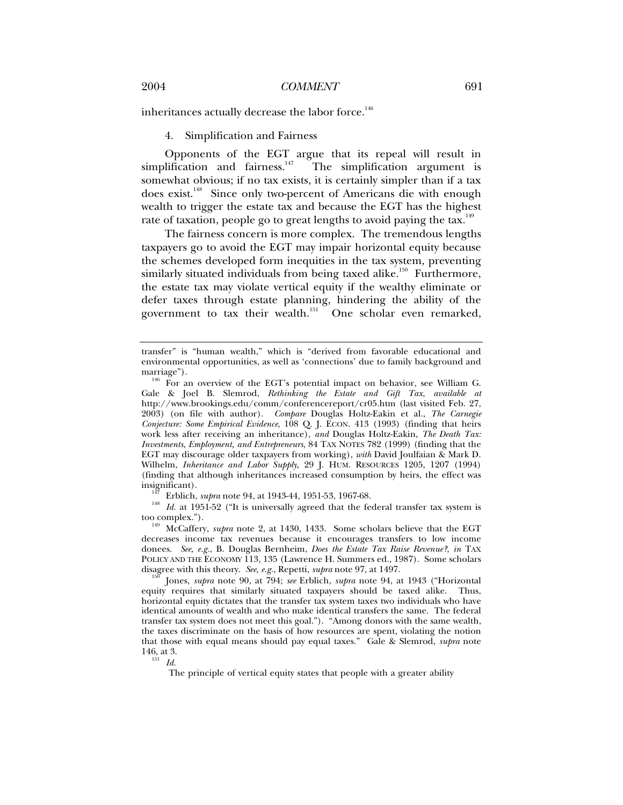inheritances actually decrease the labor force.<sup>146</sup>

4. Simplification and Fairness

Opponents of the EGT argue that its repeal will result in simplification and fairness. $\frac{147}{10}$  The simplification argument is somewhat obvious; if no tax exists, it is certainly simpler than if a tax does exist.<sup>148</sup> Since only two-percent of Americans die with enough wealth to trigger the estate tax and because the EGT has the highest rate of taxation, people go to great lengths to avoid paying the tax.<sup>149</sup>

The fairness concern is more complex. The tremendous lengths taxpayers go to avoid the EGT may impair horizontal equity because the schemes developed form inequities in the tax system, preventing similarly situated individuals from being taxed alike.<sup>150</sup> Furthermore, the estate tax may violate vertical equity if the wealthy eliminate or defer taxes through estate planning, hindering the ability of the government to tax their wealth.<sup>151</sup> One scholar even remarked,

<sup>147</sup> Erblich, *supra* note 94, at 1943-44, 1951-53, 1967-68.<br><sup>148</sup> Id. at 1951-52 ("It is universally agreed that the federal transfer tax system is too complex."). 149 McCaffery, *supra* note 2, at 1430, 1433. Some scholars believe that the EGT

decreases income tax revenues because it encourages transfers to low income donees. *See, e.g.*, B. Douglas Bernheim, *Does the Estate Tax Raise Revenue?*, *in* TAX POLICY AND THE ECONOMY 113, 135 (Lawrence H. Summers ed., 1987). Some scholars disagree with this theory. *See, e.g.*, Repetti, *supra* note 97, at 1497. 150 Jones, *supra* note 90, at 794; *see* Erblich, *supra* note 94, at 1943 ("Horizontal

equity requires that similarly situated taxpayers should be taxed alike. Thus, horizontal equity dictates that the transfer tax system taxes two individuals who have identical amounts of wealth and who make identical transfers the same. The federal transfer tax system does not meet this goal."). "Among donors with the same wealth, the taxes discriminate on the basis of how resources are spent, violating the notion that those with equal means should pay equal taxes." Gale & Slemrod, *supra* note 146, at 3.<br> $\frac{151}{Id}$ 

The principle of vertical equity states that people with a greater ability

transfer" is "human wealth," which is "derived from favorable educational and environmental opportunities, as well as 'connections' due to family background and

marriage").<br><sup>146</sup> For an overview of the EGT's potential impact on behavior, see William G. Gale & Joel B. Slemrod, *Rethinking the Estate and Gift Tax*, *available at*  http://www.brookings.edu/comm/conferencereport/cr05.htm (last visited Feb. 27, 2003) (on file with author). *Compare* Douglas Holtz-Eakin et al., *The Carnegie Conjecture: Some Empirical Evidence*, 108 Q. J. ECON. 413 (1993) (finding that heirs work less after receiving an inheritance), *and* Douglas Holtz-Eakin, *The Death Tax: Investments, Employment, and Entrepreneurs*, 84 TAX NOTES 782 (1999) (finding that the EGT may discourage older taxpayers from working), *with* David Joulfaian & Mark D. Wilhelm, *Inheritance and Labor Supply,* 29 J. HUM. RESOURCES 1205, 1207 (1994) (finding that although inheritances increased consumption by heirs, the effect was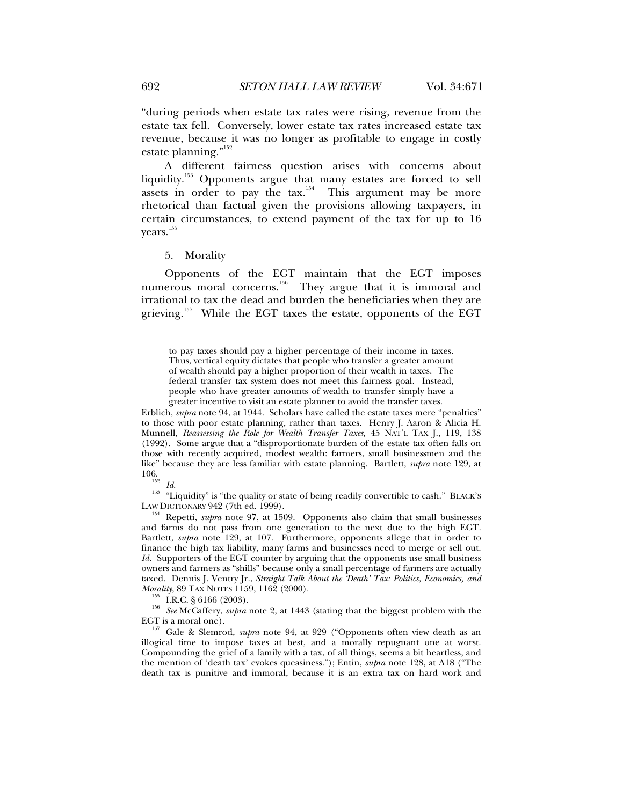"during periods when estate tax rates were rising, revenue from the estate tax fell. Conversely, lower estate tax rates increased estate tax revenue, because it was no longer as profitable to engage in costly estate planning."<sup>152</sup>

A different fairness question arises with concerns about liquidity.<sup>153</sup> Opponents argue that many estates are forced to sell assets in order to pay the tax.<sup>154</sup> This argument may be more rhetorical than factual given the provisions allowing taxpayers, in certain circumstances, to extend payment of the tax for up to 16 years.<sup>155</sup>

5. Morality

Opponents of the EGT maintain that the EGT imposes numerous moral concerns.<sup>156</sup> They argue that it is immoral and irrational to tax the dead and burden the beneficiaries when they are grieving.<sup>157</sup> While the EGT taxes the estate, opponents of the EGT

Erblich, *supra* note 94, at 1944. Scholars have called the estate taxes mere "penalties" to those with poor estate planning, rather than taxes. Henry J. Aaron & Alicia H. Munnell, *Reassessing the Role for Wealth Transfer Taxes*, 45 NAT'L TAX J., 119, 138 (1992). Some argue that a "disproportionate burden of the estate tax often falls on those with recently acquired, modest wealth: farmers, small businessmen and the like" because they are less familiar with estate planning. Bartlett, *supra* note 129, at

<sup>152</sup> Id. <sup>153</sup> "Liquidity" is "the quality or state of being readily convertible to cash." BLACK'S LAW DICTIONARY 942 (7th ed. 1999).

<sup>154</sup> Repetti, *supra* note 97, at 1509. Opponents also claim that small businesses and farms do not pass from one generation to the next due to the high EGT. Bartlett, *supra* note 129, at 107. Furthermore, opponents allege that in order to finance the high tax liability, many farms and businesses need to merge or sell out. *Id.* Supporters of the EGT counter by arguing that the opponents use small business owners and farmers as "shills" because only a small percentage of farmers are actually taxed. Dennis J. Ventry Jr., *Straight Talk About the 'Death' Tax: Politics, Economics, and* 

<sup>155</sup> I.R.C. § 6166 (2003). *See* McCaffery, *supra* note 2, at 1443 (stating that the biggest problem with the

EGT is a moral one). 157 Gale & Slemrod, *supra* note 94, at 929 ("Opponents often view death as an illogical time to impose taxes at best, and a morally repugnant one at worst. Compounding the grief of a family with a tax, of all things, seems a bit heartless, and the mention of 'death tax' evokes queasiness."); Entin, *supra* note 128, at A18 ("The death tax is punitive and immoral, because it is an extra tax on hard work and

to pay taxes should pay a higher percentage of their income in taxes. Thus, vertical equity dictates that people who transfer a greater amount of wealth should pay a higher proportion of their wealth in taxes. The federal transfer tax system does not meet this fairness goal. Instead, people who have greater amounts of wealth to transfer simply have a greater incentive to visit an estate planner to avoid the transfer taxes.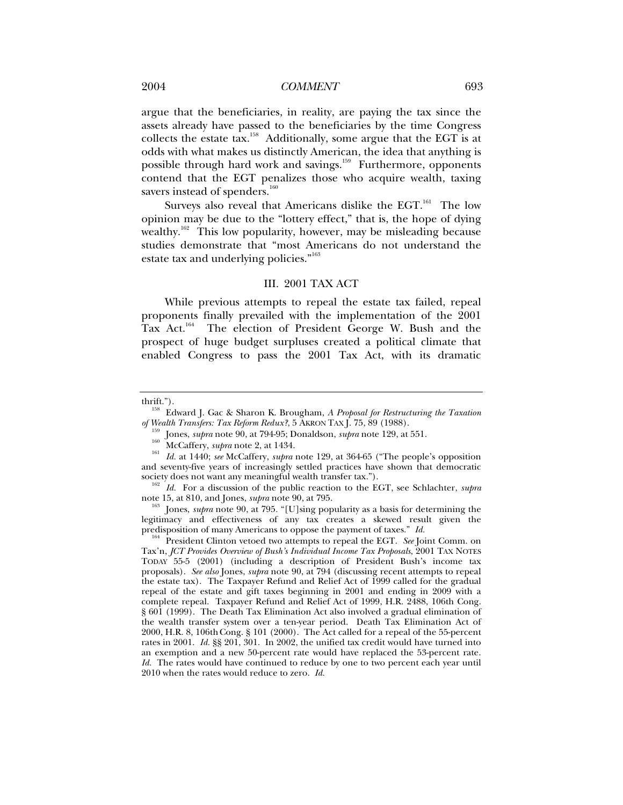### 2004 *COMMENT* 693

argue that the beneficiaries, in reality, are paying the tax since the assets already have passed to the beneficiaries by the time Congress collects the estate tax.158 Additionally, some argue that the EGT is at odds with what makes us distinctly American, the idea that anything is possible through hard work and savings.<sup>159</sup> Furthermore, opponents contend that the EGT penalizes those who acquire wealth, taxing savers instead of spenders. $160$ 

Surveys also reveal that Americans dislike the EGT.<sup>161</sup> The low opinion may be due to the "lottery effect," that is, the hope of dying wealthy.<sup>162</sup> This low popularity, however, may be misleading because studies demonstrate that "most Americans do not understand the estate tax and underlying policies."<sup>163</sup>

### III. 2001 TAX ACT

While previous attempts to repeal the estate tax failed, repeal proponents finally prevailed with the implementation of the 2001 Tax Act.<sup>164</sup> The election of President George W. Bush and the prospect of huge budget surpluses created a political climate that enabled Congress to pass the 2001 Tax Act, with its dramatic

thrift."). 158 Edward J. Gac & Sharon K. Brougham, *A Proposal for Restructuring the Taxation* 

<sup>%</sup> of Wealth Transfers: Tax Reform Redux?, 5 AKRON TAX J. 75, 89 (1988).<br>
Jones, *supra* note 90, at 794-95; Donaldson, *supra* note 129, at 551.<br>
<sup>160</sup> McCaffery, *supra* note 2, at 1434.<br> *Id.* at 1440; *see* McCaffery, and seventy-five years of increasingly settled practices have shown that democratic society does not want any meaningful wealth transfer tax.").

<sup>&</sup>lt;sup>162</sup> *Id.* For a discussion of the public reaction to the EGT, see Schlachter, *supra* note 15, at 810, and Jones, *supra* note 90, at 795.

<sup>&</sup>lt;sup>163</sup> Jones, *supra* note 90, at 795. "[U]sing popularity as a basis for determining the legitimacy and effectiveness of any tax creates a skewed result given the predisposition of many Americans to oppose the payment of taxes." *Id.* 164 President Clinton vetoed two attempts to repeal the EGT. *See* Joint Comm. on

Tax'n, *JCT Provides Overview of Bush's Individual Income Tax Proposals*, 2001 TAX NOTES TODAY 55-5 (2001) (including a description of President Bush's income tax proposals). *See also* Jones, *supra* note 90, at 794 (discussing recent attempts to repeal the estate tax). The Taxpayer Refund and Relief Act of 1999 called for the gradual repeal of the estate and gift taxes beginning in 2001 and ending in 2009 with a complete repeal. Taxpayer Refund and Relief Act of 1999, H.R. 2488, 106th Cong. § 601 (1999). The Death Tax Elimination Act also involved a gradual elimination of the wealth transfer system over a ten-year period. Death Tax Elimination Act of 2000, H.R. 8, 106thCong. § 101 (2000). The Act called for a repeal of the 55-percent rates in 2001. *Id.* §§ 201, 301. In 2002, the unified tax credit would have turned into an exemption and a new 50-percent rate would have replaced the 53-percent rate. *Id.* The rates would have continued to reduce by one to two percent each year until 2010 when the rates would reduce to zero. *Id.*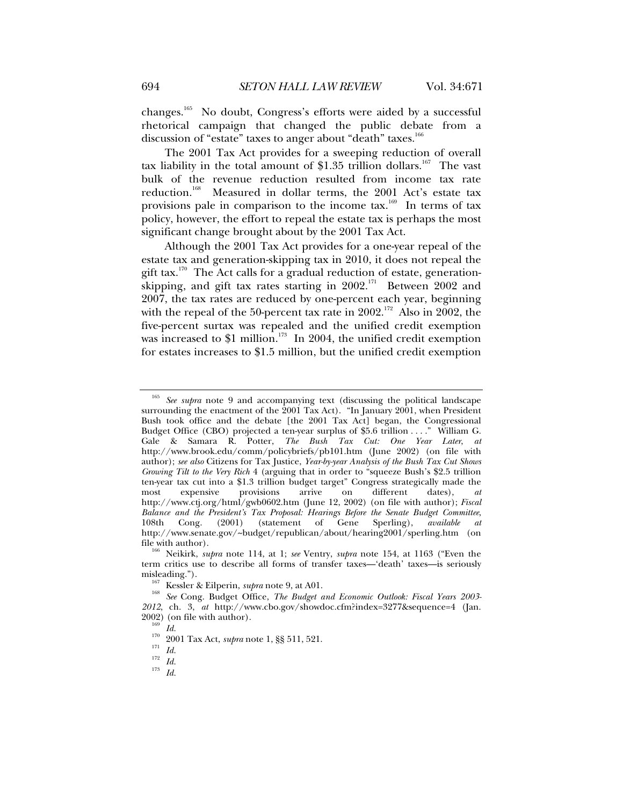changes.165 No doubt, Congress's efforts were aided by a successful rhetorical campaign that changed the public debate from a discussion of "estate" taxes to anger about "death" taxes.<sup>166</sup>

The 2001 Tax Act provides for a sweeping reduction of overall tax liability in the total amount of \$1.35 trillion dollars.<sup>167</sup> The vast bulk of the revenue reduction resulted from income tax rate reduction.<sup>168</sup> Measured in dollar terms, the 2001 Act's estate tax provisions pale in comparison to the income  $tax$ .<sup>169</sup> In terms of tax policy, however, the effort to repeal the estate tax is perhaps the most significant change brought about by the 2001 Tax Act.

Although the 2001 Tax Act provides for a one-year repeal of the estate tax and generation-skipping tax in 2010, it does not repeal the gift tax.<sup>170</sup> The Act calls for a gradual reduction of estate, generationskipping, and gift tax rates starting in 2002.<sup>171</sup> Between 2002 and 2007, the tax rates are reduced by one-percent each year, beginning with the repeal of the 50-percent tax rate in 2002.<sup>172</sup> Also in 2002, the five-percent surtax was repealed and the unified credit exemption was increased to \$1 million.<sup>173</sup> In 2004, the unified credit exemption for estates increases to \$1.5 million, but the unified credit exemption

<sup>165</sup> *See supra* note 9 and accompanying text (discussing the political landscape surrounding the enactment of the 2001 Tax Act). "In January 2001, when President Bush took office and the debate [the 2001 Tax Act] began, the Congressional Budget Office (CBO) projected a ten-year surplus of \$5.6 trillion . . . ." William G. Gale & Samara R. Potter, *The Bush Tax Cut: One Year Later*, *at*  http://www.brook.edu/comm/policybriefs/pb101.htm (June 2002) (on file with author); *see also* Citizens for Tax Justice, *Year-by-year Analysis of the Bush Tax Cut Shows Growing Tilt to the Very Rich* 4 (arguing that in order to "squeeze Bush's \$2.5 trillion ten-year tax cut into a \$1.3 trillion budget target" Congress strategically made the most expensive provisions arrive on different dates), *at* most expensive provisions arrive on different dates), *at*  http://www.ctj.org/html/gwb0602.htm (June 12, 2002) (on file with author); *Fiscal Balance and the President's Tax Proposal: Hearings Before the Senate Budget Committee*, 108th Cong. (2001) (statement of Gene Sperling), *available at*  http://www.senate.gov/~budget/republican/about/hearing2001/sperling.htm (on

<sup>&</sup>lt;sup>166</sup> Neikirk, *supra* note 114, at 1; *see* Ventry, *supra* note 154, at 1163 ("Even the term critics use to describe all forms of transfer taxes—'death' taxes—is seriously

<sup>&</sup>lt;sup>167</sup> Kessler & Eilperin, *supra* note 9, at A01.<br><sup>168</sup> See Cong. Budget Office, *The Budget and Economic Outlook: Fiscal Years 2003*-*2012*, ch. 3, *at* http://www.cbo.gov/showdoc.cfm?index=3277&sequence=4 (Jan.

<sup>&</sup>lt;sup>200</sup><sub>109</sub> (on the author). 170<br><sup>170</sup> 2001 Tax Act, *supra* note 1, §§ 511, 521.<br><sup>171</sup> *Id.* 173<sup>*Id.* 173</sup> *Id.*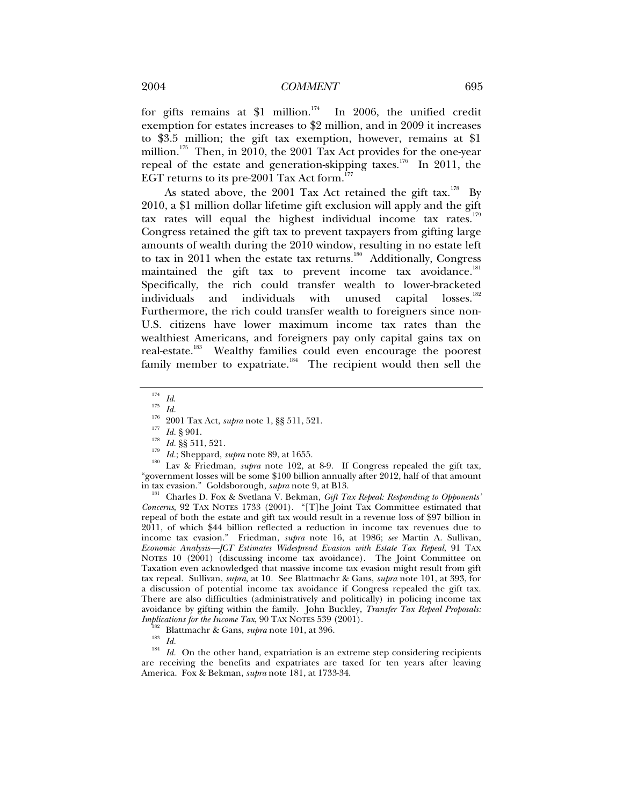for gifts remains at \$1 million.<sup>174</sup> In 2006, the unified credit exemption for estates increases to \$2 million, and in 2009 it increases to \$3.5 million; the gift tax exemption, however, remains at \$1 million.<sup>175</sup> Then, in 2010, the 2001 Tax Act provides for the one-year repeal of the estate and generation-skipping taxes.<sup>176</sup> In 2011, the EGT returns to its pre-2001 Tax Act form.<sup>177</sup>

As stated above, the 2001 Tax Act retained the gift tax.<sup>178</sup> By 2010, a \$1 million dollar lifetime gift exclusion will apply and the gift tax rates will equal the highest individual income tax rates. $179$ Congress retained the gift tax to prevent taxpayers from gifting large amounts of wealth during the 2010 window, resulting in no estate left to tax in 2011 when the estate tax returns.<sup>180</sup> Additionally, Congress maintained the gift tax to prevent income tax avoidance.<sup>181</sup> Specifically, the rich could transfer wealth to lower-bracketed individuals and individuals with unused capital losses.<sup>182</sup> Furthermore, the rich could transfer wealth to foreigners since non-U.S. citizens have lower maximum income tax rates than the wealthiest Americans, and foreigners pay only capital gains tax on real-estate.<sup>183</sup> Wealthy families could even encourage the poorest family member to expatriate.<sup>184</sup> The recipient would then sell the

<sup>181</sup> Charles D. Fox & Svetlana V. Bekman, *Gift Tax Repeal: Responding to Opponents' Concerns*, 92 TAX NOTES 1733 (2001). "[T]he Joint Tax Committee estimated that repeal of both the estate and gift tax would result in a revenue loss of \$97 billion in 2011, of which \$44 billion reflected a reduction in income tax revenues due to income tax evasion." Friedman, *supra* note 16, at 1986; *see* Martin A. Sullivan, *Economic Analysis—JCT Estimates Widespread Evasion with Estate Tax Repeal*, 91 TAX NOTES 10 (2001) (discussing income tax avoidance). The Joint Committee on Taxation even acknowledged that massive income tax evasion might result from gift tax repeal. Sullivan, *supra*, at 10*.* See Blattmachr & Gans, *supra* note 101, at 393, for a discussion of potential income tax avoidance if Congress repealed the gift tax. There are also difficulties (administratively and politically) in policing income tax avoidance by gifting within the family. John Buckley, *Transfer Tax Repeal Proposals:* 

<sup>&</sup>lt;sup>174</sup> *Id.*<br>
<sup>175</sup> *Id.*<br>
2001 Tax Act, *supra* note 1, §§ 511, 521.<br>
<sup>177</sup> *Id.* § 901.<br>
<sup>178</sup> *Id.* §§ 511, 521.<br>
<sup>178</sup> *Id.* §§ 511, 521.<br>
<sup>179</sup> *Id.*; Sheppard, *supra* note 89, at 1655.<br>
L<sup>179</sup> *Lax & Friedman, <i>supr* "government losses will be some \$100 billion annually after 2012, half of that amount in tax evasion." Goldsborough, *supra* note 9, at B13.

<sup>&</sup>lt;sup>182</sup> Blattmachr & Gans, *supra* note 101, at 396.<br><sup>183</sup> *Id. Id.* On the other hand, expatriation is an extreme step considering recipients are receiving the benefits and expatriates are taxed for ten years after leaving America. Fox & Bekman, *supra* note 181, at 1733-34.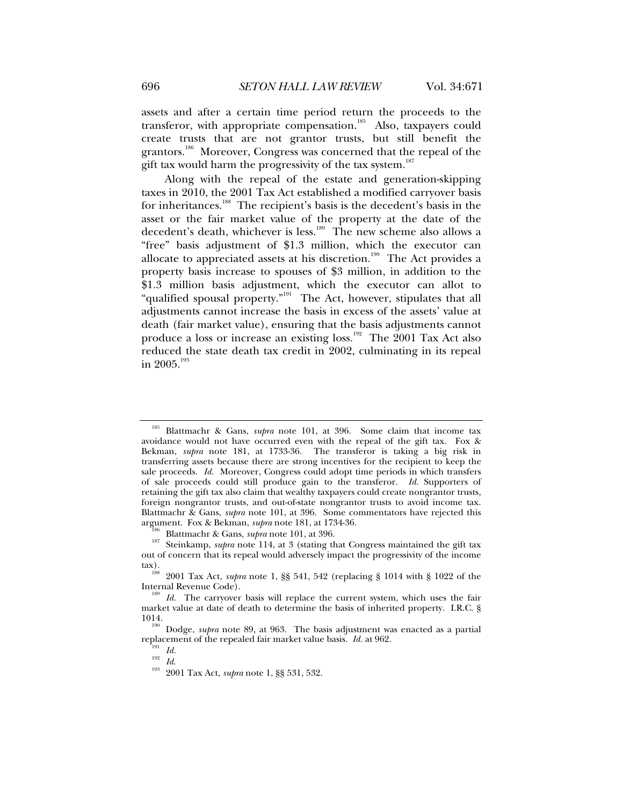assets and after a certain time period return the proceeds to the transferor, with appropriate compensation.<sup>185</sup> Also, taxpayers could create trusts that are not grantor trusts, but still benefit the grantors.<sup>186</sup> Moreover, Congress was concerned that the repeal of the gift tax would harm the progressivity of the tax system.<sup>187</sup>

Along with the repeal of the estate and generation-skipping taxes in 2010, the 2001 Tax Act established a modified carryover basis for inheritances.<sup>188</sup> The recipient's basis is the decedent's basis in the asset or the fair market value of the property at the date of the decedent's death, whichever is less.<sup>189</sup> The new scheme also allows a "free" basis adjustment of \$1.3 million, which the executor can allocate to appreciated assets at his discretion.<sup>190</sup> The Act provides a property basis increase to spouses of \$3 million, in addition to the \$1.3 million basis adjustment, which the executor can allot to "qualified spousal property."<sup>191</sup> The Act, however, stipulates that all adjustments cannot increase the basis in excess of the assets' value at death (fair market value), ensuring that the basis adjustments cannot produce a loss or increase an existing loss.<sup>192</sup> The 2001 Tax Act also reduced the state death tax credit in 2002, culminating in its repeal in 2005.<sup>193</sup>

<sup>185</sup> Blattmachr & Gans, *supra* note 101, at 396. Some claim that income tax avoidance would not have occurred even with the repeal of the gift tax. Fox & Bekman, *supra* note 181, at 1733-36. The transferor is taking a big risk in transferring assets because there are strong incentives for the recipient to keep the sale proceeds. *Id.* Moreover, Congress could adopt time periods in which transfers of sale proceeds could still produce gain to the transferor. *Id.* Supporters of retaining the gift tax also claim that wealthy taxpayers could create nongrantor trusts, foreign nongrantor trusts, and out-of-state nongrantor trusts to avoid income tax. Blattmachr & Gans, *supra* note 101, at 396. Some commentators have rejected this argument. Fox & Bekman, *supra* note 181, at 1734-36.<br><sup>186</sup> Blattmachr & Gans, *supra* note 101, at 396.<br><sup>187</sup> Steinkamp, *supra* note 114, at 3 (stating that Congress maintained the gift tax

out of concern that its repeal would adversely impact the progressivity of the income tax). 188 2001 Tax Act, *supra* note 1, §§ 541, 542 (replacing § 1014 with § 1022 of the

Internal Revenue Code). 189 *Id.* The carryover basis will replace the current system, which uses the fair

market value at date of death to determine the basis of inherited property. I.R.C. § 1014. 190 Dodge, *supra* note 89, at 963. The basis adjustment was enacted as a partial

replacement of the repealed fair market value basis. *Id.* at 962.<br><sup>192</sup> *Id.* <sup>192</sup> *Id.* 2001 Tax Act, *supra* note 1, §§ 531, 532.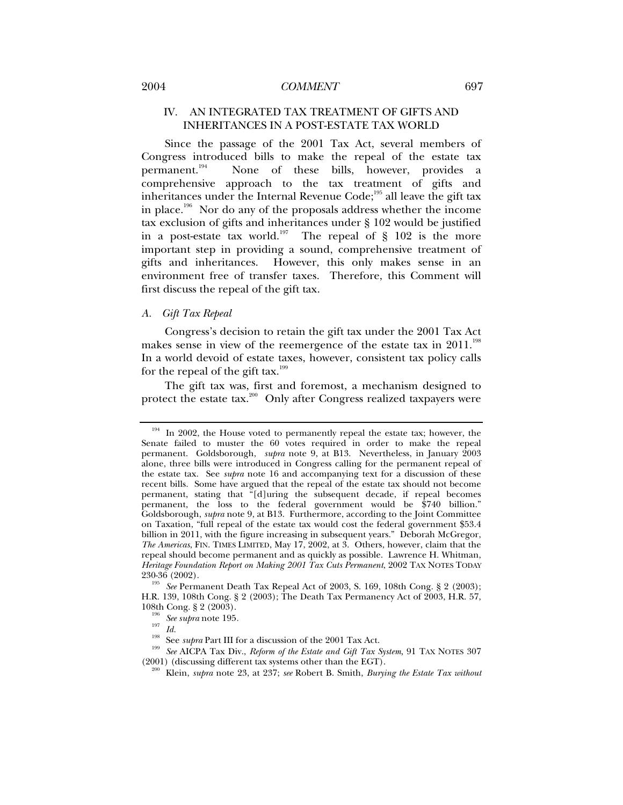# 2004 *COMMENT* 697

# IV. AN INTEGRATED TAX TREATMENT OF GIFTS AND INHERITANCES IN A POST-ESTATE TAX WORLD

Since the passage of the 2001 Tax Act, several members of Congress introduced bills to make the repeal of the estate tax permanent.194 None of these bills, however, provides a comprehensive approach to the tax treatment of gifts and inheritances under the Internal Revenue Code;<sup>195</sup> all leave the gift tax in place.<sup>196</sup> Nor do any of the proposals address whether the income tax exclusion of gifts and inheritances under § 102 would be justified in a post-estate tax world.<sup>197</sup> The repeal of  $\S$  102 is the more important step in providing a sound, comprehensive treatment of gifts and inheritances. However, this only makes sense in an environment free of transfer taxes. Therefore, this Comment will first discuss the repeal of the gift tax.

## *A. Gift Tax Repeal*

Congress's decision to retain the gift tax under the 2001 Tax Act makes sense in view of the reemergence of the estate tax in  $2011.^{198}$ In a world devoid of estate taxes, however, consistent tax policy calls for the repeal of the gift tax.<sup>199</sup>

The gift tax was, first and foremost, a mechanism designed to protect the estate tax.<sup>200</sup> Only after Congress realized taxpayers were

<sup>&</sup>lt;sup>194</sup> In 2002, the House voted to permanently repeal the estate tax; however, the Senate failed to muster the 60 votes required in order to make the repeal permanent. Goldsborough, *supra* note 9, at B13. Nevertheless, in January 2003 alone, three bills were introduced in Congress calling for the permanent repeal of the estate tax. See *supra* note 16 and accompanying text for a discussion of these recent bills. Some have argued that the repeal of the estate tax should not become permanent, stating that "[d]uring the subsequent decade, if repeal becomes permanent, the loss to the federal government would be \$740 billion." Goldsborough, *supra* note 9, at B13. Furthermore, according to the Joint Committee on Taxation, "full repeal of the estate tax would cost the federal government \$53.4 billion in 2011, with the figure increasing in subsequent years." Deborah McGregor, *The Americas*, FIN. TIMES LIMITED, May 17, 2002, at 3. Others, however, claim that the repeal should become permanent and as quickly as possible. Lawrence H. Whitman, *Heritage Foundation Report on Making 2001 Tax Cuts Permanent*, 2002 TAX NOTES TODAY 230-36 (2002).

<sup>&</sup>lt;sup>195</sup> See Permanent Death Tax Repeal Act of 2003, S. 169, 108th Cong. § 2 (2003); H.R. 139, 108th Cong. § 2 (2003); The Death Tax Permanency Act of 2003, H.R. 57,

<sup>&</sup>lt;sup>196</sup> See supra note 195.<br><sup>197</sup> *Id.*<br><sup>198</sup> See supra Part III for a discussion of the 2001 Tax Act.<br><sup>199</sup> See AICPA Tax Div., *Reform of the Estate and Gift Tax System*, 91 TAX NOTES 307<br>(2001) (discussing different tax

<sup>(2001) (</sup>discussing different tax systems other than the EGT). 200 Klein, *supra* note 23, at 237; *see* Robert B. Smith, *Burying the Estate Tax without*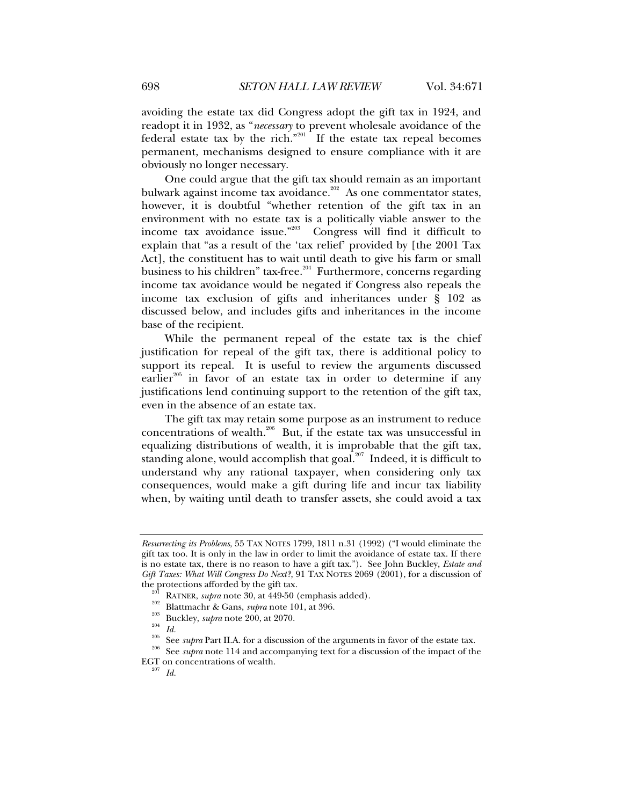avoiding the estate tax did Congress adopt the gift tax in 1924, and readopt it in 1932, as "*necessary* to prevent wholesale avoidance of the federal estate tax by the rich."<sup>201</sup> If the estate tax repeal becomes permanent, mechanisms designed to ensure compliance with it are obviously no longer necessary.

One could argue that the gift tax should remain as an important bulwark against income tax avoidance.<sup>202</sup> As one commentator states, however, it is doubtful "whether retention of the gift tax in an environment with no estate tax is a politically viable answer to the income tax avoidance issue."203 Congress will find it difficult to explain that "as a result of the 'tax relief' provided by [the 2001 Tax Act], the constituent has to wait until death to give his farm or small business to his children" tax-free.<sup>204</sup> Furthermore, concerns regarding income tax avoidance would be negated if Congress also repeals the income tax exclusion of gifts and inheritances under § 102 as discussed below, and includes gifts and inheritances in the income base of the recipient.

While the permanent repeal of the estate tax is the chief justification for repeal of the gift tax, there is additional policy to support its repeal. It is useful to review the arguments discussed earlier<sup>205</sup> in favor of an estate tax in order to determine if any justifications lend continuing support to the retention of the gift tax, even in the absence of an estate tax.

The gift tax may retain some purpose as an instrument to reduce concentrations of wealth.206 But, if the estate tax was unsuccessful in equalizing distributions of wealth, it is improbable that the gift tax, standing alone, would accomplish that goal.<sup>207</sup> Indeed, it is difficult to understand why any rational taxpayer, when considering only tax consequences, would make a gift during life and incur tax liability when, by waiting until death to transfer assets, she could avoid a tax

- 
- 

*Resurrecting its Problems*, 55 TAX NOTES 1799, 1811 n.31 (1992) ("I would eliminate the gift tax too. It is only in the law in order to limit the avoidance of estate tax. If there is no estate tax, there is no reason to have a gift tax."). See John Buckley, *Estate and Gift Taxes: What Will Congress Do Next?*, 91 TAX NOTES 2069 (2001), for a discussion of the protections afforded by the gift tax.<br>
<sup>201</sup> RATNER, *supra* note 30, at 449-50 (emphasis added).<br>
<sup>202</sup> Blattmachr & Gans, *supra* note 101, at 396.<br>
<sup>203</sup> Buckley, *supra* note 200, at 2070.<br>
<sup>204</sup> Id.<br>
<sup>205</sup> See *s* 

EGT on concentrations of wealth. 207 *Id.*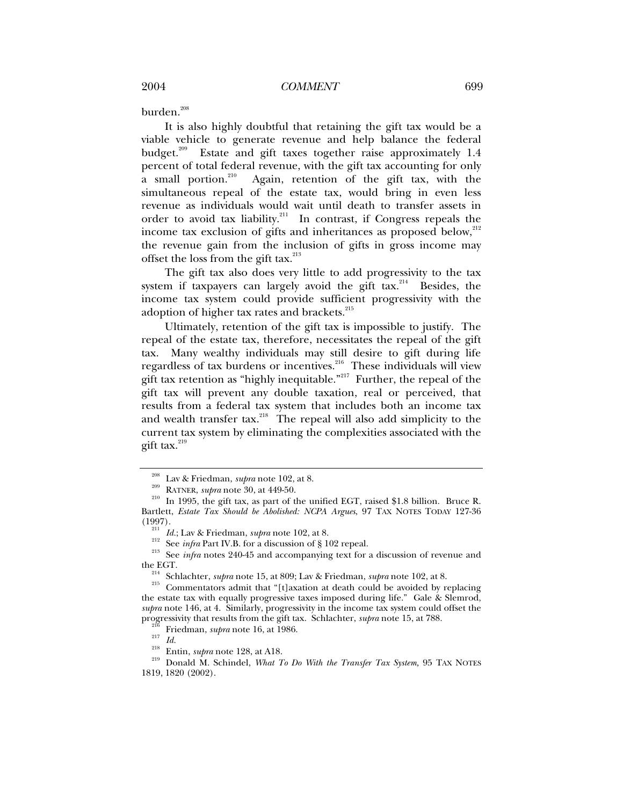burden.<sup>208</sup>

It is also highly doubtful that retaining the gift tax would be a viable vehicle to generate revenue and help balance the federal budget.<sup>209</sup> Estate and gift taxes together raise approximately 1.4 percent of total federal revenue, with the gift tax accounting for only a small portion.<sup>210</sup> Again, retention of the gift tax, with the Again, retention of the gift tax, with the simultaneous repeal of the estate tax, would bring in even less revenue as individuals would wait until death to transfer assets in order to avoid tax liability.<sup>211</sup> In contrast, if Congress repeals the income tax exclusion of gifts and inheritances as proposed below, $^{212}$ the revenue gain from the inclusion of gifts in gross income may offset the loss from the gift tax. $^{213}$ 

The gift tax also does very little to add progressivity to the tax system if taxpayers can largely avoid the gift tax.<sup>214</sup> Besides, the income tax system could provide sufficient progressivity with the adoption of higher tax rates and brackets.<sup>215</sup>

Ultimately, retention of the gift tax is impossible to justify. The repeal of the estate tax, therefore, necessitates the repeal of the gift tax. Many wealthy individuals may still desire to gift during life regardless of tax burdens or incentives.<sup>216</sup> These individuals will view gift tax retention as "highly inequitable."<sup>217</sup> Further, the repeal of the gift tax will prevent any double taxation, real or perceived, that results from a federal tax system that includes both an income tax and wealth transfer tax.<sup>218</sup> The repeal will also add simplicity to the current tax system by eliminating the complexities associated with the gift tax. $^{219}$ 

<sup>&</sup>lt;sup>208</sup> Lav & Friedman, *supra* note 102, at 8.<br><sup>209</sup> RATNER, *supra* note 30, at 449-50.<br><sup>210</sup> In 1995, the gift tax, as part of the unified EGT, raised \$1.8 billion. Bruce R. Bartlett, *Estate Tax Should be Abolished: NCPA Argues*, 97 TAX NOTES TODAY 127-36 (1997).

<sup>&</sup>lt;sup>211</sup> *Id.*; Lav & Friedman, *supra* note 102, at 8.<br><sup>212</sup> See *infra* Part IV.B. for a discussion of § 102 repeal.<br><sup>213</sup> See *infra* notes 240-45 and accompanying text for a discussion of revenue and the EGT.

<sup>&</sup>lt;sup>214</sup> Schlachter, *supra* note 15, at 809; Lav & Friedman, *supra* note 102, at 8. Commentators admit that "[t]axation at death could be avoided by replacing the estate tax with equally progressive taxes imposed during life." Gale & Slemrod, *supra* note 146, at 4. Similarly, progressivity in the income tax system could offset the progressivity that results from the gift tax. Schlachter, *supra* note 15, at 788.<br><sup>216</sup> Friedman, *supra* note 16, at 1986.<br><sup>217</sup> Id.<br><sup>218</sup> Entin, *supra* note 128, at A18.<br><sup>219</sup> Donald M. Schindel, *What To Do With the T* 

<sup>1819, 1820 (2002).</sup>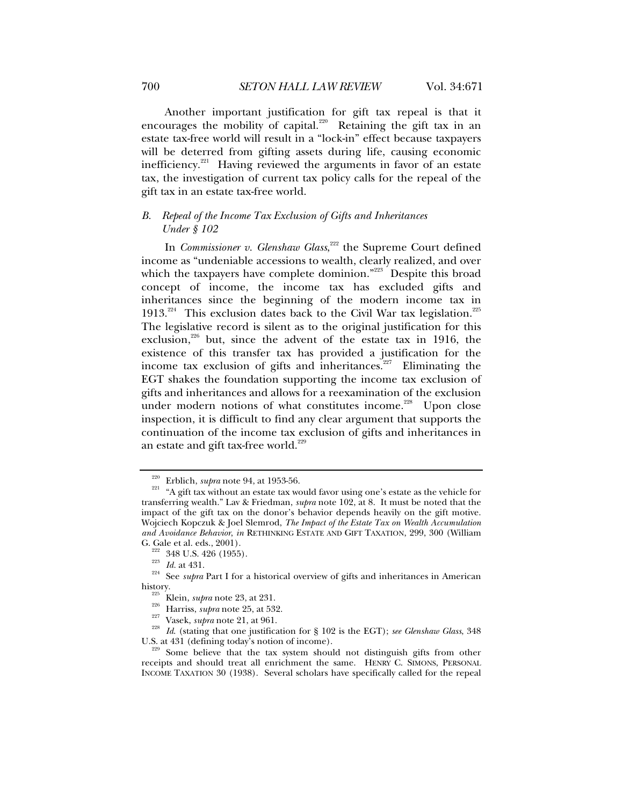Another important justification for gift tax repeal is that it encourages the mobility of capital.<sup>220</sup> Retaining the gift tax in an estate tax-free world will result in a "lock-in" effect because taxpayers will be deterred from gifting assets during life, causing economic inefficiency. $221$  Having reviewed the arguments in favor of an estate tax, the investigation of current tax policy calls for the repeal of the gift tax in an estate tax-free world.

# *B. Repeal of the Income Tax Exclusion of Gifts and Inheritances Under § 102*

In *Commissioner v. Glenshaw Glass*, <sup>222</sup> the Supreme Court defined income as "undeniable accessions to wealth, clearly realized, and over which the taxpayers have complete dominion."<sup>223</sup> Despite this broad concept of income, the income tax has excluded gifts and inheritances since the beginning of the modern income tax in 1913.<sup>224</sup> This exclusion dates back to the Civil War tax legislation.<sup>225</sup> The legislative record is silent as to the original justification for this exclusion, $226$  but, since the advent of the estate tax in 1916, the existence of this transfer tax has provided a justification for the income tax exclusion of gifts and inheritances.<sup>227</sup> Eliminating the EGT shakes the foundation supporting the income tax exclusion of gifts and inheritances and allows for a reexamination of the exclusion under modern notions of what constitutes income.<sup>228</sup> Upon close inspection, it is difficult to find any clear argument that supports the continuation of the income tax exclusion of gifts and inheritances in an estate and gift tax-free world.<sup>229</sup>

<sup>&</sup>lt;sup>220</sup> Erblich, *supra* note 94, at 1953-56.<br><sup>221</sup> "A gift tax without an estate tax would favor using one's estate as the vehicle for transferring wealth." Lav & Friedman, *supra* note 102, at 8. It must be noted that the impact of the gift tax on the donor's behavior depends heavily on the gift motive. Wojciech Kopczuk & Joel Slemrod, *The Impact of the Estate Tax on Wealth Accumulation and Avoidance Behavior*, *in* RETHINKING ESTATE AND GIFT TAXATION, 299, 300 (William

<sup>&</sup>lt;sup>222</sup> 348 U.S. 426 (1955).<br><sup>223</sup> *Id.* at 431.<br><sup>224</sup> See *supra* Part I for a historical overview of gifts and inheritances in American<br>history.

<sup>&</sup>lt;sup>225</sup> Klein, *supra* note 23, at 231.<br>
<sup>226</sup> Harriss, *supra* note 25, at 532.<br>
<sup>227</sup> Vasek, *supra* note 21, at 961.<br>
<sup>228</sup> Id. (stating that one justification for § 102 is the EGT); *see Glenshaw Glass*, 348<br>
U.S. at 43

<sup>&</sup>lt;sup>229</sup> Some believe that the tax system should not distinguish gifts from other receipts and should treat all enrichment the same. HENRY C. SIMONS, PERSONAL INCOME TAXATION 30 (1938). Several scholars have specifically called for the repeal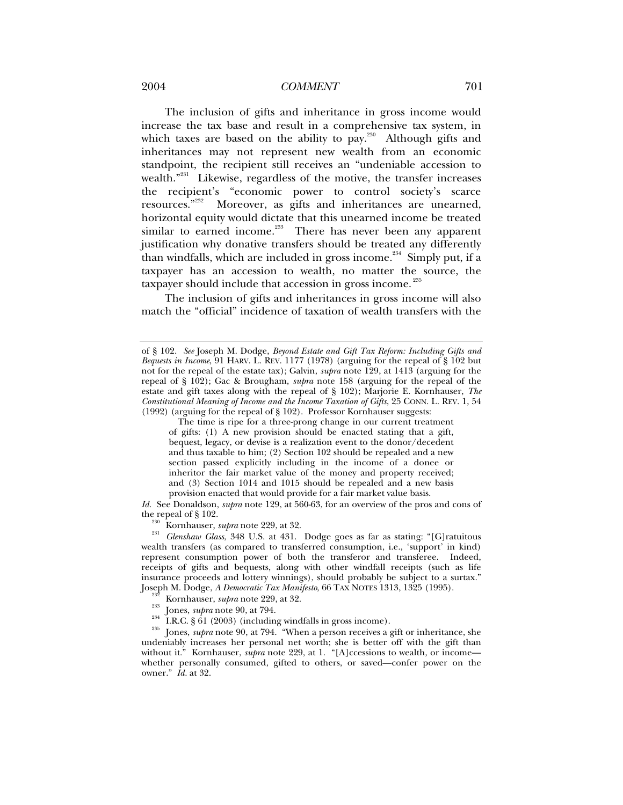# 2004 COMMENT 2004 2004

The inclusion of gifts and inheritance in gross income would increase the tax base and result in a comprehensive tax system, in which taxes are based on the ability to  $pay.^{230}$ . Although gifts and inheritances may not represent new wealth from an economic standpoint, the recipient still receives an "undeniable accession to wealth."<sup>231</sup> Likewise, regardless of the motive, the transfer increases the recipient's "economic power to control society's scarce resources."<sup>232</sup> Moreover, as gifts and inheritances are unearned, horizontal equity would dictate that this unearned income be treated similar to earned income.<sup>233</sup> There has never been any apparent justification why donative transfers should be treated any differently than windfalls, which are included in gross income.<sup>234</sup> Simply put, if a taxpayer has an accession to wealth, no matter the source, the taxpayer should include that accession in gross income.<sup>235</sup>

The inclusion of gifts and inheritances in gross income will also match the "official" incidence of taxation of wealth transfers with the

The time is ripe for a three-prong change in our current treatment of gifts: (1) A new provision should be enacted stating that a gift, bequest, legacy, or devise is a realization event to the donor/decedent and thus taxable to him; (2) Section 102 should be repealed and a new section passed explicitly including in the income of a donee or inheritor the fair market value of the money and property received; and (3) Section 1014 and 1015 should be repealed and a new basis provision enacted that would provide for a fair market value basis.

*Id.* See Donaldson, *supra* note 129, at 560-63, for an overview of the pros and cons of

the repeal of § 102.<br><sup>230</sup> Kornhauser, *supra* note 229, at 32.<br><sup>231</sup> *Glenshaw Glass*, 348 U.S. at 431. Dodge goes as far as stating: "[G]ratuitous wealth transfers (as compared to transferred consumption, i.e., 'support' in kind) represent consumption power of both the transferor and transferee. Indeed, receipts of gifts and bequests, along with other windfall receipts (such as life insurance proceeds and lottery winnings), should probably be subject to a surtax." Joseph M. Dodge, A Democratic Tax Manifesto, 66 TAX NOTES 1313, 1325 (1995).

<sup>232</sup> Kornhauser, *supra* note 229, at 32.<br><sup>233</sup> Jones, *supra* note 90, at 794.<br><sup>234</sup> I.R.C. § 61 (2003) (including windfalls in gross income).<br><sup>235</sup> Jones, *supra* note 90, at 794. "When a person receives a gift or inhe undeniably increases her personal net worth; she is better off with the gift than without it." Kornhauser, *supra* note 229, at 1. "[A]ccessions to wealth, or incomewhether personally consumed, gifted to others, or saved—confer power on the owner." *Id.* at 32.

of § 102. *See* Joseph M. Dodge, *Beyond Estate and Gift Tax Reform: Including Gifts and Bequests in Income*, 91 HARV. L. REV. 1177 (1978) (arguing for the repeal of § 102 but not for the repeal of the estate tax); Galvin, *supra* note 129, at 1413 (arguing for the repeal of § 102); Gac & Brougham, *supra* note 158 (arguing for the repeal of the estate and gift taxes along with the repeal of § 102); Marjorie E. Kornhauser, *The Constitutional Meaning of Income and the Income Taxation of Gifts*, 25 CONN. L. REV. 1, 54 (1992) (arguing for the repeal of § 102). Professor Kornhauser suggests: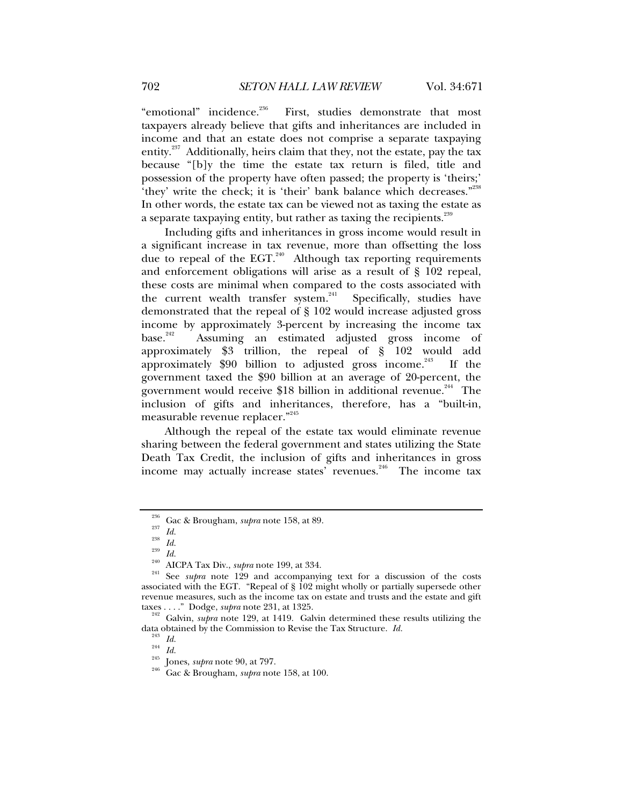"emotional" incidence.<sup>236</sup> First, studies demonstrate that most taxpayers already believe that gifts and inheritances are included in income and that an estate does not comprise a separate taxpaying entity.<sup>237</sup> Additionally, heirs claim that they, not the estate, pay the tax because "[b]y the time the estate tax return is filed, title and possession of the property have often passed; the property is 'theirs;' 'they' write the check; it is 'their' bank balance which decreases."<sup>238</sup> In other words, the estate tax can be viewed not as taxing the estate as a separate taxpaying entity, but rather as taxing the recipients.<sup>239</sup>

Including gifts and inheritances in gross income would result in a significant increase in tax revenue, more than offsetting the loss due to repeal of the EGT.<sup>240</sup> Although tax reporting requirements and enforcement obligations will arise as a result of § 102 repeal, these costs are minimal when compared to the costs associated with the current wealth transfer system.<sup>241</sup> Specifically, studies have demonstrated that the repeal of § 102 would increase adjusted gross income by approximately 3-percent by increasing the income tax<br>hase.<sup>242</sup> Assuming an estimated adjusted gross income of Assuming an estimated adjusted gross income of approximately \$3 trillion, the repeal of § 102 would add approximately  $$90$  billion to adjusted gross income.<sup>243</sup> If the government taxed the \$90 billion at an average of 20-percent, the government would receive \$18 billion in additional revenue.<sup>244</sup> The inclusion of gifts and inheritances, therefore, has a "built-in, measurable revenue replacer."<sup>245</sup>

Although the repeal of the estate tax would eliminate revenue sharing between the federal government and states utilizing the State Death Tax Credit, the inclusion of gifts and inheritances in gross income may actually increase states' revenues.<sup>246</sup> The income tax

<sup>&</sup>lt;sup>236</sup> Gac & Brougham, *supra* note 158, at 89.<br>
<sup>237</sup> *Id.*<br>
<sup>238</sup> *Id.*<br>
<sup>239</sup> *Id.*<br>
<sup>239</sup> *Id.*<br>
<sup>240</sup> AICPA Tax Div., *supra* note 199, at 334.<br>
<sup>240</sup> AECPA Tax Div., *supra* note 199, at 334.<br>
<sup>241</sup> See *supra* note associated with the EGT. "Repeal of § 102 might wholly or partially supersede other revenue measures, such as the income tax on estate and trusts and the estate and gift taxes . . . ." Dodge, *supra* note 231, at 1325.

<sup>&</sup>lt;sup>242</sup> Galvin, *supra* note 129, at 1419. Galvin determined these results utilizing the data obtained by the Commission to Revise the Tax Structure. *Id.* 

data obtained by the Commission to Revise the Tax Structure. *Id.* <sup>243</sup> *Id.* <sup>244</sup> *Id.* 245 Jones, *supra* note 90, at 797. 246 Gac & Brougham, *supra* note 158, at 100.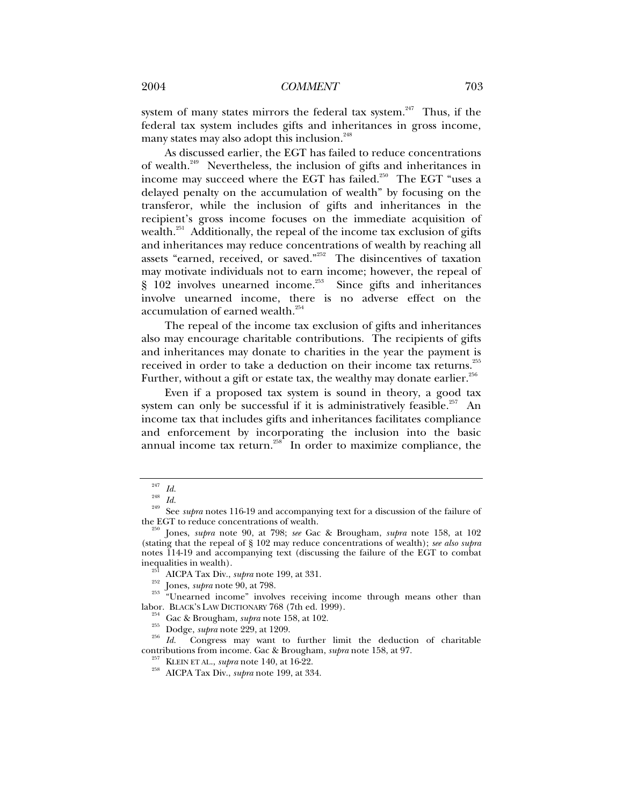system of many states mirrors the federal tax system.<sup>247</sup> Thus, if the federal tax system includes gifts and inheritances in gross income, many states may also adopt this inclusion.<sup>248</sup>

As discussed earlier, the EGT has failed to reduce concentrations of wealth.249 Nevertheless, the inclusion of gifts and inheritances in income may succeed where the EGT has failed.<sup>250</sup> The EGT "uses a delayed penalty on the accumulation of wealth" by focusing on the transferor, while the inclusion of gifts and inheritances in the recipient's gross income focuses on the immediate acquisition of wealth.<sup>251</sup> Additionally, the repeal of the income tax exclusion of gifts and inheritances may reduce concentrations of wealth by reaching all assets "earned, received, or saved."252 The disincentives of taxation may motivate individuals not to earn income; however, the repeal of § 102 involves unearned income.<sup>253</sup> Since gifts and inheritances involve unearned income, there is no adverse effect on the accumulation of earned wealth.<sup>254</sup>

The repeal of the income tax exclusion of gifts and inheritances also may encourage charitable contributions. The recipients of gifts and inheritances may donate to charities in the year the payment is received in order to take a deduction on their income tax returns.<sup>255</sup> Further, without a gift or estate tax, the wealthy may donate earlier. $^{256}$ 

Even if a proposed tax system is sound in theory, a good tax system can only be successful if it is administratively feasible.<sup>257</sup> An income tax that includes gifts and inheritances facilitates compliance and enforcement by incorporating the inclusion into the basic annual income tax return.<sup>258</sup> In order to maximize compliance, the

inequalities in wealth).<br><sup>251</sup> AICPA Tax Div., *supra* note 199, at 331.<br><sup>252</sup> Jones, *supra* note 90, at 798.<br><sup>253</sup> "Unearned income" involves receiving income through means other than<br>labor. BLACK'S LAW DICTIONARY 768 (7

<sup>&</sup>lt;sup>247</sup> *Id.*<br><sup>248</sup> *Id.* See *supra* notes 116-19 and accompanying text for a discussion of the failure of the EGT to reduce concentrations of wealth.

Iones, *supra* note 90, at 798; *see Gac & Brougham, <i>supra* note 158, at 102 (stating that the repeal of § 102 may reduce concentrations of wealth); *see also supra* notes 114-19 and accompanying text (discussing the failure of the EGT to combat

<sup>&</sup>lt;sup>254</sup> Gac & Brougham, *supra* note 158, at 102.<br><sup>255</sup> Dodge, *supra* note 229, at 1209.<br>*Id.* Congress may want to further limit the deduction of charitable contributions from income. Gac & Brougham, *supra* note 158, at 9

<sup>&</sup>lt;sup>257</sup> KLEIN ET AL., *supra* note 140, at 16-22.<br><sup>258</sup> AICPA Tax Div., *supra* note 199, at 334.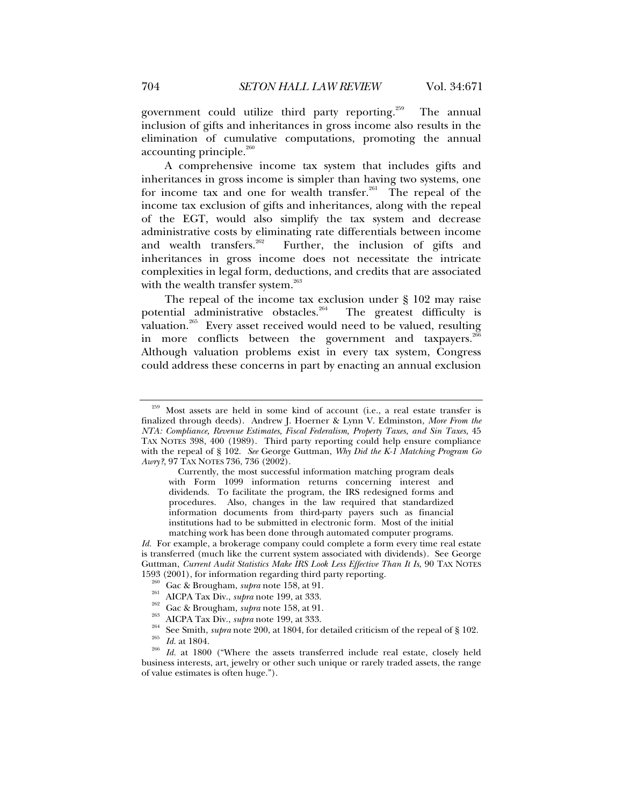government could utilize third party reporting.<sup>259</sup> The annual inclusion of gifts and inheritances in gross income also results in the elimination of cumulative computations, promoting the annual accounting principle. $^{260}$ 

A comprehensive income tax system that includes gifts and inheritances in gross income is simpler than having two systems, one for income tax and one for wealth transfer.<sup>261</sup> The repeal of the income tax exclusion of gifts and inheritances, along with the repeal of the EGT, would also simplify the tax system and decrease administrative costs by eliminating rate differentials between income and wealth transfers.<sup>262</sup> Further, the inclusion of gifts and inheritances in gross income does not necessitate the intricate complexities in legal form, deductions, and credits that are associated with the wealth transfer system. $^{263}$ 

The repeal of the income tax exclusion under § 102 may raise potential administrative obstacles.<sup>264</sup> The greatest difficulty is valuation.<sup>265</sup> Every asset received would need to be valued, resulting in more conflicts between the government and taxpayers.<sup>266</sup> Although valuation problems exist in every tax system, Congress could address these concerns in part by enacting an annual exclusion

Currently, the most successful information matching program deals with Form 1099 information returns concerning interest and dividends. To facilitate the program, the IRS redesigned forms and procedures. Also, changes in the law required that standardized information documents from third-party payers such as financial institutions had to be submitted in electronic form. Most of the initial matching work has been done through automated computer programs.

*Id.* For example, a brokerage company could complete a form every time real estate is transferred (much like the current system associated with dividends). See George Guttman, *Current Audit Statistics Make IRS Look Less Effective Than It Is*, 90 TAX NOTES 1593 (2001), for information regarding third party reporting.

Most assets are held in some kind of account (i.e., a real estate transfer is finalized through deeds). Andrew J. Hoerner & Lynn V. Edminston, *More From the NTA: Compliance, Revenue Estimates, Fiscal Federalism, Property Taxes, and Sin Taxes*, 45 TAX NOTES 398, 400 (1989). Third party reporting could help ensure compliance with the repeal of § 102. *See* George Guttman, *Why Did the K-1 Matching Program Go Awry?*, 97 TAX NOTES 736, 736 (2002).

<sup>&</sup>lt;sup>260</sup> Gac & Brougham, *supra* note 158, at 91.<br>
<sup>261</sup> AICPA Tax Div., *supra* note 199, at 333.<br>
<sup>262</sup> Gac & Brougham, *supra* note 158, at 91.<br>
<sup>263</sup> AICPA Tax Div., *supra* note 199, at 333.<br>
<sup>264</sup> See Smith, *supra* no

business interests, art, jewelry or other such unique or rarely traded assets, the range of value estimates is often huge.").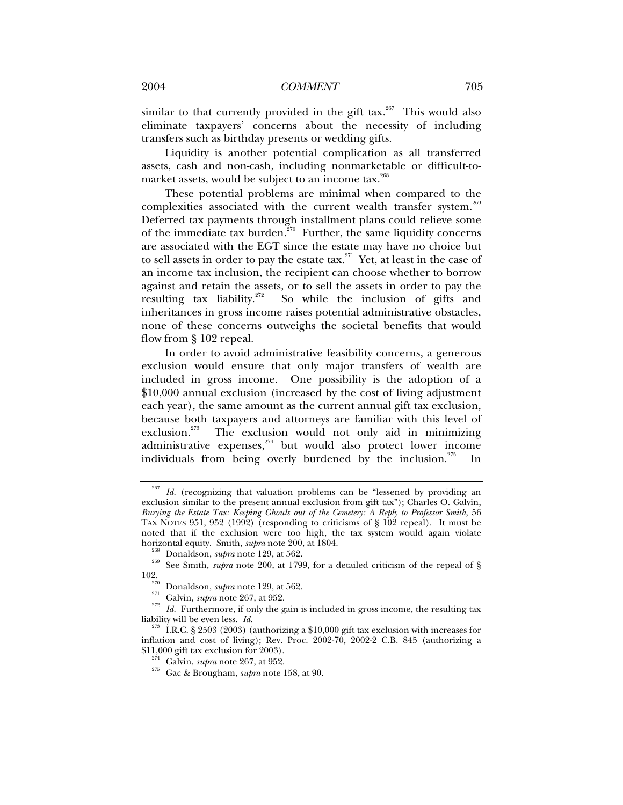# 2004 *COMMENT* 705

similar to that currently provided in the gift  $tax.^{267}$  This would also eliminate taxpayers' concerns about the necessity of including transfers such as birthday presents or wedding gifts.

Liquidity is another potential complication as all transferred assets, cash and non-cash, including nonmarketable or difficult-tomarket assets, would be subject to an income tax.<sup>268</sup>

These potential problems are minimal when compared to the complexities associated with the current wealth transfer system.<sup>269</sup> Deferred tax payments through installment plans could relieve some of the immediate tax burden.<sup>270</sup> Further, the same liquidity concerns are associated with the EGT since the estate may have no choice but to sell assets in order to pay the estate  $\text{tax.}^{271}$  Yet, at least in the case of an income tax inclusion, the recipient can choose whether to borrow against and retain the assets, or to sell the assets in order to pay the resulting tax liability.<sup>272</sup> So while the inclusion of gifts and inheritances in gross income raises potential administrative obstacles, none of these concerns outweighs the societal benefits that would flow from § 102 repeal.

In order to avoid administrative feasibility concerns, a generous exclusion would ensure that only major transfers of wealth are included in gross income. One possibility is the adoption of a \$10,000 annual exclusion (increased by the cost of living adjustment each year), the same amount as the current annual gift tax exclusion, because both taxpayers and attorneys are familiar with this level of exclusion.<sup>273</sup> The exclusion would not only aid in minimizing The exclusion would not only aid in minimizing administrative expenses, $274$  but would also protect lower income individuals from being overly burdened by the inclusion.<sup>275</sup> In

<sup>&</sup>lt;sup>267</sup> Id. (recognizing that valuation problems can be "lessened by providing an exclusion similar to the present annual exclusion from gift tax"); Charles O. Galvin, *Burying the Estate Tax: Keeping Ghouls out of the Cemetery: A Reply to Professor Smith*, 56 TAX NOTES 951, 952 (1992) (responding to criticisms of § 102 repeal). It must be noted that if the exclusion were too high, the tax system would again violate horizontal equity. Smith, *supra* note 200, at 1804.

<sup>&</sup>lt;sup>268</sup> Donaldson, *supra* note 129, at 562. 269<br><sup>269</sup> See Smith, *supra* note 200, at 1799, for a detailed criticism of the repeal of §

<sup>102.&</sup>lt;br><sup>270</sup> Donaldson, *supra* note 129, at 562.<br><sup>271</sup> Galvin, *supra* note 267, at 952.<br><sup>272</sup> Id. Furthermore, if only the gain is included in gross income, the resulting tax<br>liability will be even less. Id.

<sup>&</sup>lt;sup>273</sup> I.R.C. § 2503 (2003) (authorizing a \$10,000 gift tax exclusion with increases for inflation and cost of living); Rev. Proc. 2002-70, 2002-2 C.B. 845 (authorizing a

<sup>&</sup>lt;sup>274</sup> Galvin, *supra* note 267, at 952.<br><sup>275</sup> Gac & Brougham, *supra* note 158, at 90.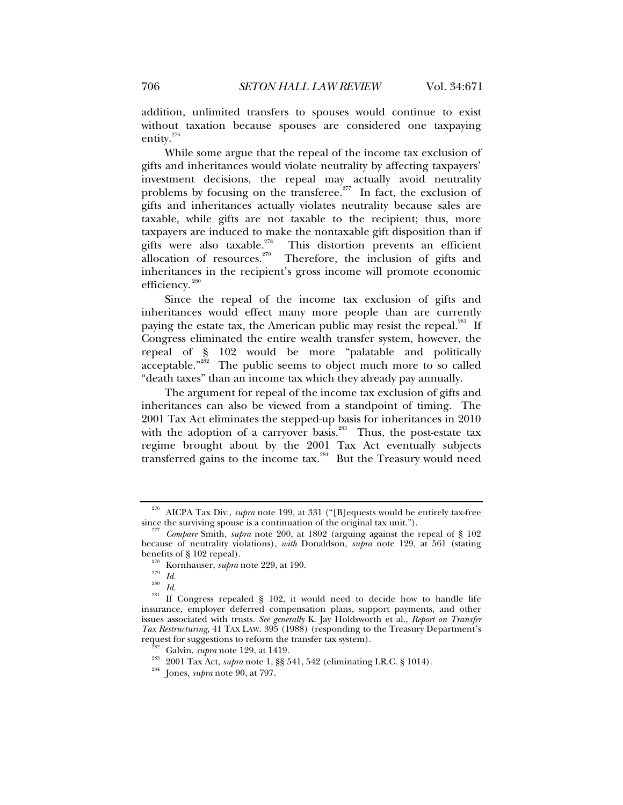addition, unlimited transfers to spouses would continue to exist without taxation because spouses are considered one taxpaying entity.276

While some argue that the repeal of the income tax exclusion of gifts and inheritances would violate neutrality by affecting taxpayers' investment decisions, the repeal may actually avoid neutrality problems by focusing on the transferee.<sup>277</sup> In fact, the exclusion of gifts and inheritances actually violates neutrality because sales are taxable, while gifts are not taxable to the recipient; thus, more taxpayers are induced to make the nontaxable gift disposition than if gifts were also taxable.<sup>278</sup> This distortion prevents an efficient gifts were also taxable.<sup>278</sup> This distortion prevents an efficient allocation of resources.<sup>279</sup> Therefore, the inclusion of gifts and Therefore, the inclusion of gifts and inheritances in the recipient's gross income will promote economic efficiency.<sup>280</sup>

Since the repeal of the income tax exclusion of gifts and inheritances would effect many more people than are currently paying the estate tax, the American public may resist the repeal.<sup>281</sup> If Congress eliminated the entire wealth transfer system, however, the repeal of § 102 would be more "palatable and politically acceptable."<sup>282</sup> The public seems to object much more to so called "death taxes" than an income tax which they already pay annually.

The argument for repeal of the income tax exclusion of gifts and inheritances can also be viewed from a standpoint of timing. The 2001 Tax Act eliminates the stepped-up basis for inheritances in 2010 with the adoption of a carryover basis.<sup>283</sup> Thus, the post-estate tax regime brought about by the 2001 Tax Act eventually subjects transferred gains to the income tax.<sup>284</sup> But the Treasury would need

<sup>&</sup>lt;sup>276</sup> AICPA Tax Div., *supra* note 199, at 331 ("[B] equests would be entirely tax-free since the surviving spouse is a continuation of the original tax unit.").

Compare Smith, *supra* note 200, at 1802 (arguing against the repeal of § 102 because of neutrality violations), *with* Donaldson, *supra* note 129, at 561 (stating benefits of § 102 repeal).<br><sup>278</sup> Kornhauser, *supra* note 229, at 190.<br><sup>279</sup> *Id.* <sup>281</sup> If Congress repealed § 102, it would need to decide how to handle life

insurance, employer deferred compensation plans, support payments, and other issues associated with trusts. *See generally* K. Jay Holdsworth et al., *Report on Transfer Tax Restructuring*, 41 TAX LAW. 395 (1988) (responding to the Treasury Department's

request for suggestions to reform the transfer tax system). 282 Galvin, *supra* note 129, at 1419. 283 2001 Tax Act, *supra* note 1, §§ 541, 542 (eliminating I.R.C. § 1014). 284 Jones, *supra* note 90, at 797.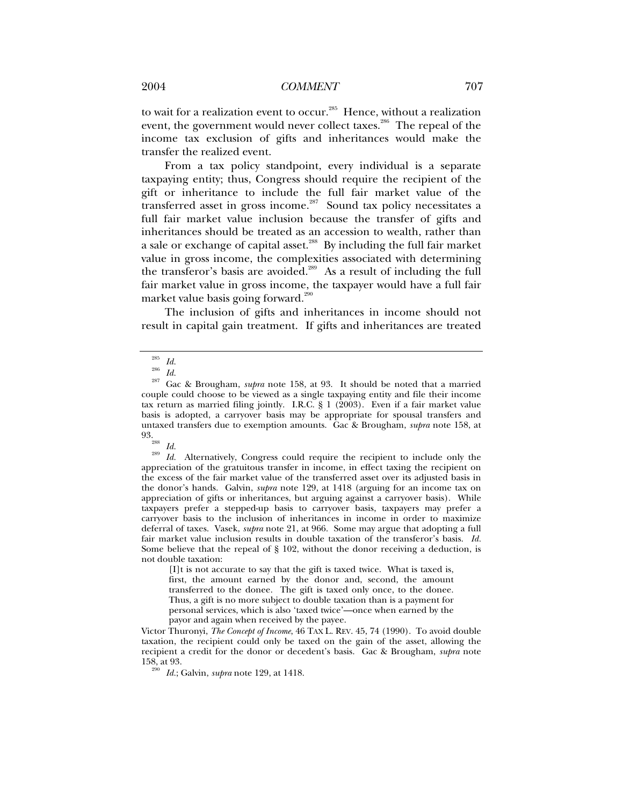to wait for a realization event to occur.<sup>285</sup> Hence, without a realization event, the government would never collect taxes.<sup>286</sup> The repeal of the income tax exclusion of gifts and inheritances would make the transfer the realized event.

From a tax policy standpoint, every individual is a separate taxpaying entity; thus, Congress should require the recipient of the gift or inheritance to include the full fair market value of the transferred asset in gross income.<sup>287</sup> Sound tax policy necessitates a full fair market value inclusion because the transfer of gifts and inheritances should be treated as an accession to wealth, rather than a sale or exchange of capital asset.<sup>288</sup> By including the full fair market value in gross income, the complexities associated with determining the transferor's basis are avoided.<sup>289</sup> As a result of including the full fair market value in gross income, the taxpayer would have a full fair market value basis going forward.<sup>290</sup>

The inclusion of gifts and inheritances in income should not result in capital gain treatment. If gifts and inheritances are treated

93. 288 *Id.* <sup>289</sup> *Id.* Alternatively, Congress could require the recipient to include only the appreciation of the gratuitous transfer in income, in effect taxing the recipient on the excess of the fair market value of the transferred asset over its adjusted basis in the donor's hands. Galvin, *supra* note 129, at 1418 (arguing for an income tax on appreciation of gifts or inheritances, but arguing against a carryover basis). While taxpayers prefer a stepped-up basis to carryover basis, taxpayers may prefer a carryover basis to the inclusion of inheritances in income in order to maximize deferral of taxes. Vasek, *supra* note 21, at 966. Some may argue that adopting a full fair market value inclusion results in double taxation of the transferor's basis. *Id.*  Some believe that the repeal of  $\S$  102, without the donor receiving a deduction, is not double taxation:

[I]t is not accurate to say that the gift is taxed twice. What is taxed is, first, the amount earned by the donor and, second, the amount transferred to the donee. The gift is taxed only once, to the donee. Thus, a gift is no more subject to double taxation than is a payment for personal services, which is also 'taxed twice'—once when earned by the payor and again when received by the payee.

Victor Thuronyi, *The Concept of Income*, 46 TAX L. REV. 45, 74 (1990). To avoid double taxation, the recipient could only be taxed on the gain of the asset, allowing the recipient a credit for the donor or decedent's basis. Gac & Brougham, *supra* note 158, at 93. 290 *Id.*; Galvin, *supra* note 129, at 1418.

<sup>285</sup> *Id.* <sup>286</sup> *Id.* 287 Gac & Brougham, *supra* note 158, at 93. It should be noted that a married couple could choose to be viewed as a single taxpaying entity and file their income tax return as married filing jointly. I.R.C. § 1 (2003). Even if a fair market value basis is adopted, a carryover basis may be appropriate for spousal transfers and untaxed transfers due to exemption amounts. Gac & Brougham, *supra* note 158, at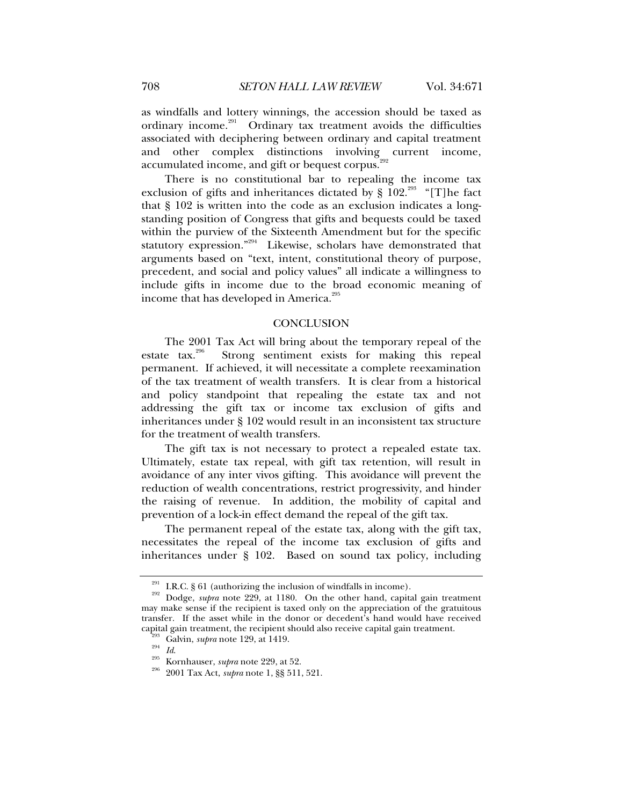as windfalls and lottery winnings, the accession should be taxed as ordinary income.<sup>291</sup> Ordinary tax treatment avoids the difficulties associated with deciphering between ordinary and capital treatment and other complex distinctions involving current income, accumulated income, and gift or bequest corpus.<sup>292</sup>

There is no constitutional bar to repealing the income tax exclusion of gifts and inheritances dictated by  $\S$  102<sup>.293</sup> "[T]he fact that § 102 is written into the code as an exclusion indicates a longstanding position of Congress that gifts and bequests could be taxed within the purview of the Sixteenth Amendment but for the specific statutory expression."<sup>294</sup> Likewise, scholars have demonstrated that arguments based on "text, intent, constitutional theory of purpose, precedent, and social and policy values" all indicate a willingness to include gifts in income due to the broad economic meaning of income that has developed in America.<sup>295</sup>

# **CONCLUSION**

The 2001 Tax Act will bring about the temporary repeal of the estate tax.<sup>296</sup> Strong sentiment exists for making this repeal permanent. If achieved, it will necessitate a complete reexamination of the tax treatment of wealth transfers. It is clear from a historical and policy standpoint that repealing the estate tax and not addressing the gift tax or income tax exclusion of gifts and inheritances under § 102 would result in an inconsistent tax structure for the treatment of wealth transfers.

The gift tax is not necessary to protect a repealed estate tax. Ultimately, estate tax repeal, with gift tax retention, will result in avoidance of any inter vivos gifting. This avoidance will prevent the reduction of wealth concentrations, restrict progressivity, and hinder the raising of revenue. In addition, the mobility of capital and prevention of a lock-in effect demand the repeal of the gift tax.

The permanent repeal of the estate tax, along with the gift tax, necessitates the repeal of the income tax exclusion of gifts and inheritances under § 102. Based on sound tax policy, including

<sup>&</sup>lt;sup>291</sup> I.R.C. § 61 (authorizing the inclusion of windfalls in income).<br><sup>292</sup> Dodge, *supra* note 229, at 1180. On the other hand, capital gain treatment may make sense if the recipient is taxed only on the appreciation of the gratuitous transfer. If the asset while in the donor or decedent's hand would have received

<sup>&</sup>lt;sup>235</sup> Galvin, *supra* note 129, at 1419.<br><sup>295</sup> Id. Kornhauser, *supra* note 229, at 52.<br><sup>296</sup> 2001 Tax Act, *supra* note 1, §§ 511, 521.